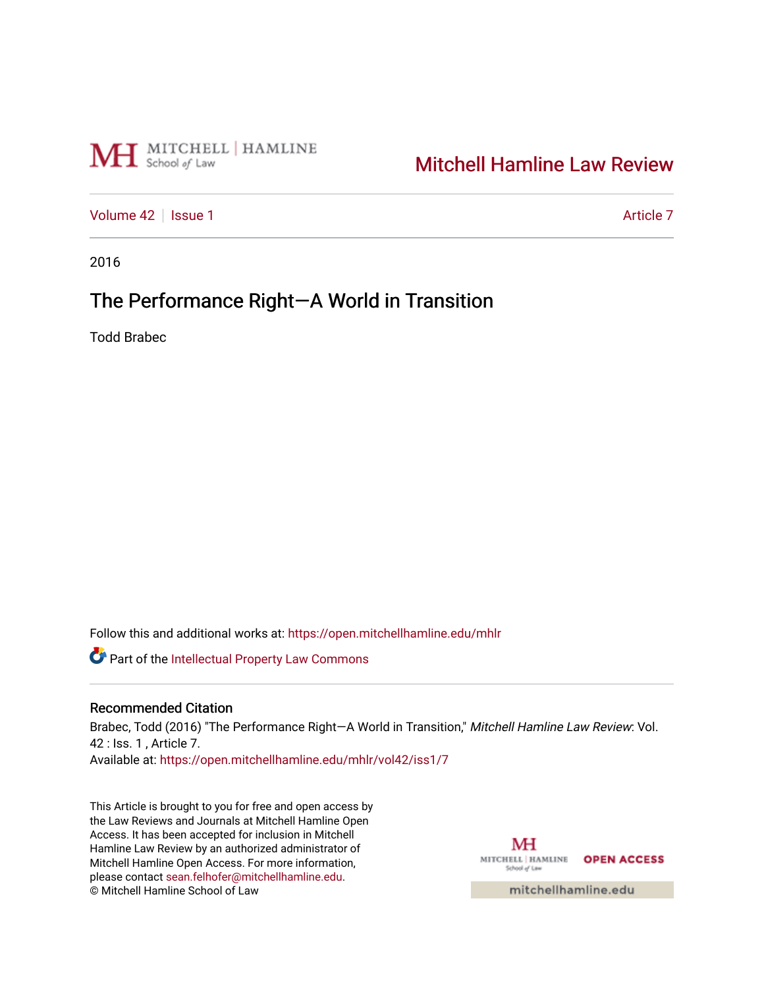# MH School of Law

# [Mitchell Hamline Law Review](https://open.mitchellhamline.edu/mhlr)

[Volume 42](https://open.mitchellhamline.edu/mhlr/vol42) | [Issue 1](https://open.mitchellhamline.edu/mhlr/vol42/iss1) Article 7

2016

# The Performance Right-A World in Transition

Todd Brabec

Follow this and additional works at: [https://open.mitchellhamline.edu/mhlr](https://open.mitchellhamline.edu/mhlr?utm_source=open.mitchellhamline.edu%2Fmhlr%2Fvol42%2Fiss1%2F7&utm_medium=PDF&utm_campaign=PDFCoverPages) 

Part of the [Intellectual Property Law Commons](http://network.bepress.com/hgg/discipline/896?utm_source=open.mitchellhamline.edu%2Fmhlr%2Fvol42%2Fiss1%2F7&utm_medium=PDF&utm_campaign=PDFCoverPages) 

### Recommended Citation

Brabec, Todd (2016) "The Performance Right-A World in Transition," Mitchell Hamline Law Review: Vol. 42 : Iss. 1 , Article 7. Available at: [https://open.mitchellhamline.edu/mhlr/vol42/iss1/7](https://open.mitchellhamline.edu/mhlr/vol42/iss1/7?utm_source=open.mitchellhamline.edu%2Fmhlr%2Fvol42%2Fiss1%2F7&utm_medium=PDF&utm_campaign=PDFCoverPages) 

This Article is brought to you for free and open access by the Law Reviews and Journals at Mitchell Hamline Open Access. It has been accepted for inclusion in Mitchell Hamline Law Review by an authorized administrator of Mitchell Hamline Open Access. For more information, please contact [sean.felhofer@mitchellhamline.edu.](mailto:sean.felhofer@mitchellhamline.edu) © Mitchell Hamline School of Law

MH MITCHELL | HAMLINE OPEN ACCESS School of Law

mitchellhamline.edu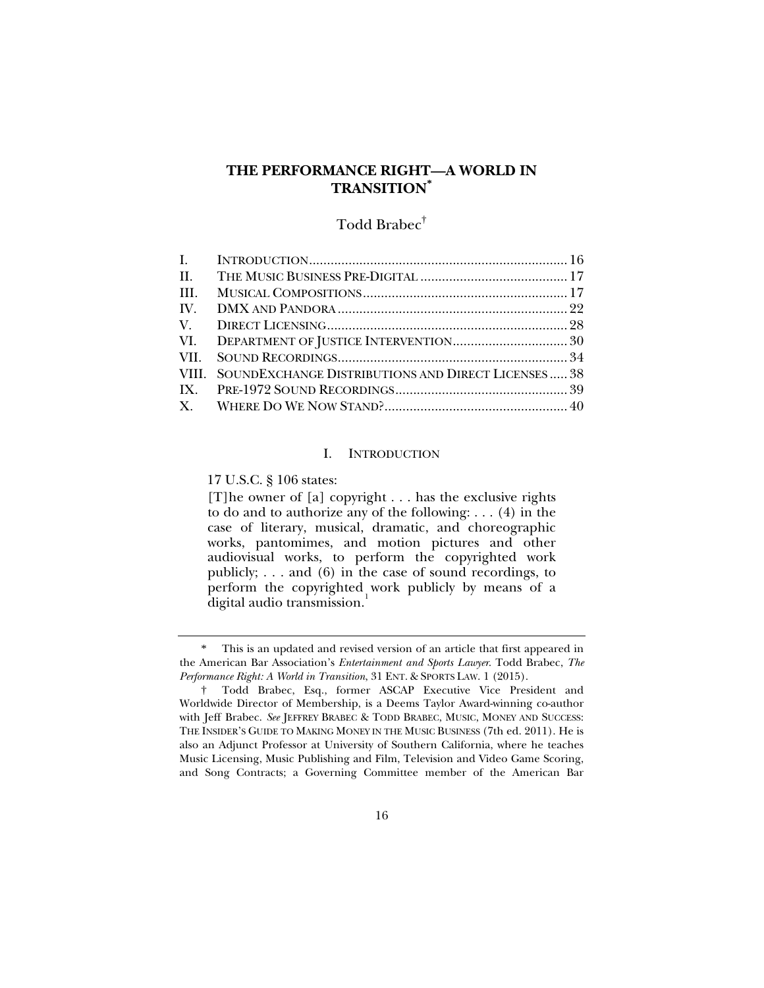## **THE PERFORMANCE RIGHT—A WORLD IN TRANSITION\***

## Todd Brabec<sup>†</sup>

| $\mathbf{I}$ . |                                                           |  |
|----------------|-----------------------------------------------------------|--|
| II.            |                                                           |  |
| HI.            |                                                           |  |
| IV.            |                                                           |  |
| V.             |                                                           |  |
|                |                                                           |  |
| VII.           |                                                           |  |
|                | VIII. SOUNDEXCHANGE DISTRIBUTIONS AND DIRECT LICENSES  38 |  |
|                |                                                           |  |
|                |                                                           |  |

#### I. INTRODUCTION

17 U.S.C. § 106 states:

[T] he owner of [a] copyright  $\dots$  has the exclusive rights to do and to authorize any of the following: . . . (4) in the case of literary, musical, dramatic, and choreographic works, pantomimes, and motion pictures and other audiovisual works, to perform the copyrighted work publicly; . . . and (6) in the case of sound recordings, to perform the copyrighted work publicly by means of a digital audio transmission.<sup>1</sup>

 <sup>\*</sup> This is an updated and revised version of an article that first appeared in the American Bar Association's *Entertainment and Sports Lawyer*. Todd Brabec, *The Performance Right: A World in Transition*, 31 ENT. & SPORTS LAW. 1 (2015).

 <sup>†</sup> Todd Brabec, Esq., former ASCAP Executive Vice President and Worldwide Director of Membership, is a Deems Taylor Award-winning co-author with Jeff Brabec. See JEFFREY BRABEC & TODD BRABEC, MUSIC, MONEY AND SUCCESS: THE INSIDER'S GUIDE TO MAKING MONEY IN THE MUSIC BUSINESS (7th ed. 2011). He is also an Adjunct Professor at University of Southern California, where he teaches Music Licensing, Music Publishing and Film, Television and Video Game Scoring, and Song Contracts; a Governing Committee member of the American Bar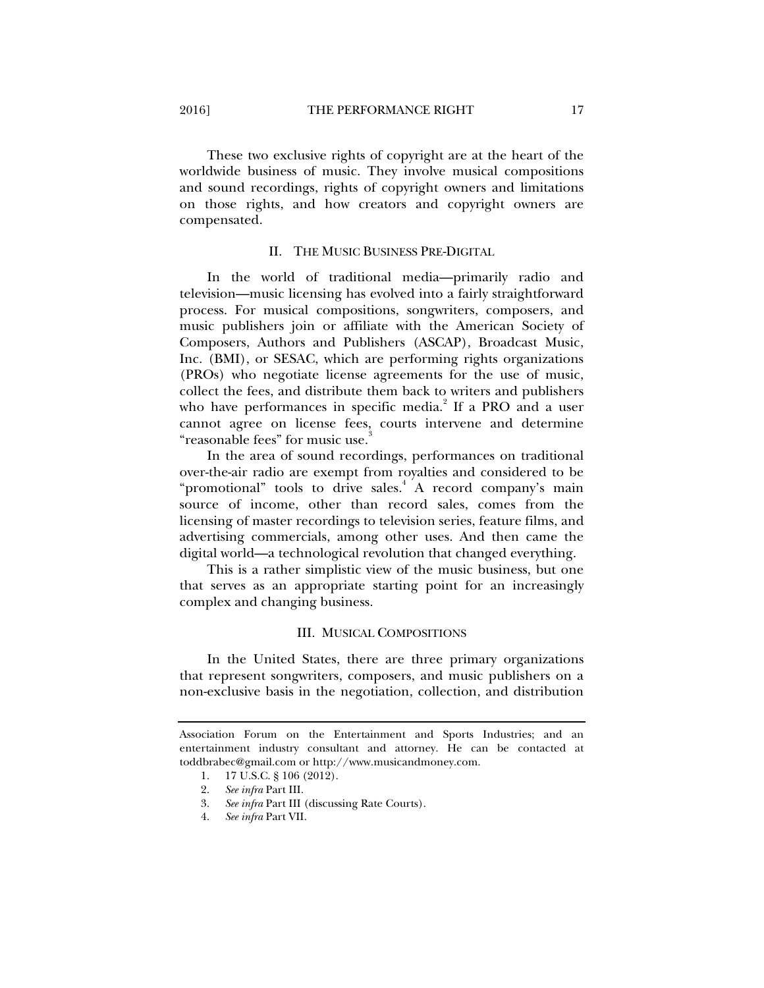These two exclusive rights of copyright are at the heart of the worldwide business of music. They involve musical compositions and sound recordings, rights of copyright owners and limitations on those rights, and how creators and copyright owners are compensated.

#### II. THE MUSIC BUSINESS PRE-DIGITAL

In the world of traditional media—primarily radio and television—music licensing has evolved into a fairly straightforward process. For musical compositions, songwriters, composers, and music publishers join or affiliate with the American Society of Composers, Authors and Publishers (ASCAP), Broadcast Music, Inc. (BMI), or SESAC, which are performing rights organizations (PROs) who negotiate license agreements for the use of music, collect the fees, and distribute them back to writers and publishers who have performances in specific media.<sup>2</sup> If a PRO and a user cannot agree on license fees, courts intervene and determine "reasonable fees" for music use.<sup>3</sup>

In the area of sound recordings, performances on traditional over-the-air radio are exempt from royalties and considered to be "promotional" tools to drive sales.<sup>4</sup> A record company's main source of income, other than record sales, comes from the licensing of master recordings to television series, feature films, and advertising commercials, among other uses. And then came the digital world—a technological revolution that changed everything.

This is a rather simplistic view of the music business, but one that serves as an appropriate starting point for an increasingly complex and changing business.

#### III. MUSICAL COMPOSITIONS

In the United States, there are three primary organizations that represent songwriters, composers, and music publishers on a non-exclusive basis in the negotiation, collection, and distribution

Association Forum on the Entertainment and Sports Industries; and an entertainment industry consultant and attorney. He can be contacted at toddbrabec@gmail.com or http://www.musicandmoney.com.

 <sup>1. 17</sup> U.S.C. § 106 (2012).

 <sup>2.</sup> *See infra* Part III.

 <sup>3.</sup> *See infra* Part III (discussing Rate Courts).

 <sup>4.</sup> *See infra* Part VII.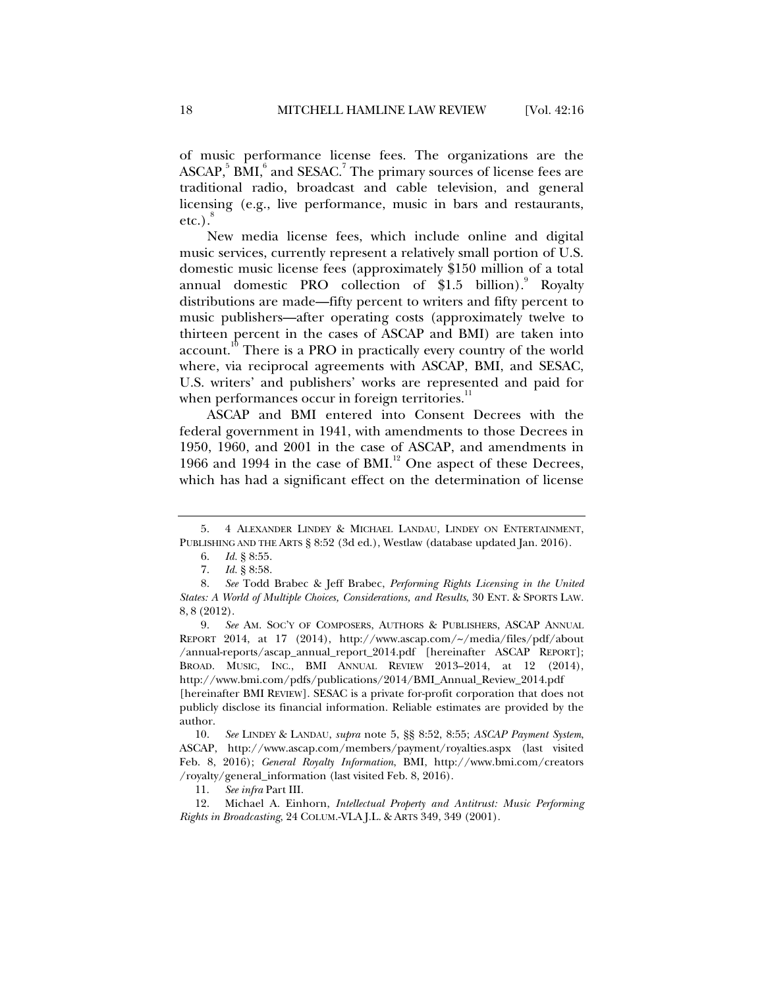of music performance license fees. The organizations are the  $\text{ASCAP},^5 \text{BMI},^6 \text{ and } \text{SESAC}.^7 \text{ The primary sources of license fees are }$ traditional radio, broadcast and cable television, and general licensing (e.g., live performance, music in bars and restaurants, etc.). $8$ 

New media license fees, which include online and digital music services, currently represent a relatively small portion of U.S. domestic music license fees (approximately \$150 million of a total annual domestic PRO collection of  $$1.5$  billion). Royalty distributions are made—fifty percent to writers and fifty percent to music publishers—after operating costs (approximately twelve to thirteen percent in the cases of ASCAP and BMI) are taken into  $account<sup>10</sup>$ . There is a PRO in practically every country of the world where, via reciprocal agreements with ASCAP, BMI, and SESAC, U.S. writers' and publishers' works are represented and paid for when performances occur in foreign territories.<sup>11</sup>

ASCAP and BMI entered into Consent Decrees with the federal government in 1941, with amendments to those Decrees in 1950, 1960, and 2001 in the case of ASCAP, and amendments in 1966 and 1994 in the case of BMI.<sup>12</sup> One aspect of these Decrees, which has had a significant effect on the determination of license

 <sup>5. 4</sup> ALEXANDER LINDEY & MICHAEL LANDAU, LINDEY ON ENTERTAINMENT, PUBLISHING AND THE ARTS § 8:52 (3d ed.), Westlaw (database updated Jan. 2016).

 <sup>6.</sup> *Id.* § 8:55.

 <sup>7.</sup> *Id.* § 8:58.

 <sup>8.</sup> *See* Todd Brabec & Jeff Brabec, *Performing Rights Licensing in the United States: A World of Multiple Choices, Considerations, and Results*, 30 ENT. & SPORTS LAW. 8, 8 (2012).

 <sup>9.</sup> *See* AM. SOC'Y OF COMPOSERS, AUTHORS & PUBLISHERS, ASCAP ANNUAL REPORT 2014, at 17 (2014), http://www.ascap.com/~/media/files/pdf/about /annual-reports/ascap\_annual\_report\_2014.pdf [hereinafter ASCAP REPORT]; BROAD. MUSIC, INC., BMI ANNUAL REVIEW 2013–2014, at 12 (2014), http://www.bmi.com/pdfs/publications/2014/BMI\_Annual\_Review\_2014.pdf [hereinafter BMI REVIEW]. SESAC is a private for-profit corporation that does not

publicly disclose its financial information. Reliable estimates are provided by the author.

 <sup>10.</sup> *See* LINDEY & LANDAU, *supra* note 5, §§ 8:52, 8:55; *ASCAP Payment System*, ASCAP, http://www.ascap.com/members/payment/royalties.aspx (last visited Feb. 8, 2016); *General Royalty Information*, BMI, http://www.bmi.com/creators /royalty/general\_information (last visited Feb. 8, 2016).

 <sup>11.</sup> *See infra* Part III.

 <sup>12.</sup> Michael A. Einhorn, *Intellectual Property and Antitrust: Music Performing Rights in Broadcasting*, 24 COLUM.-VLA J.L. & ARTS 349, 349 (2001).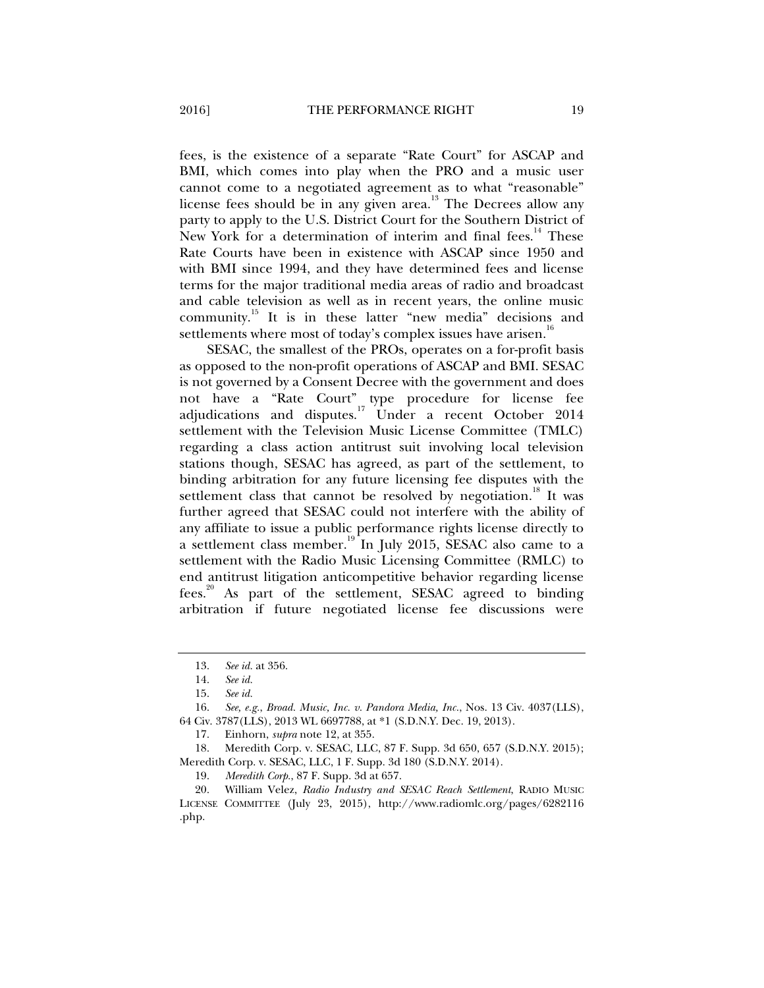fees, is the existence of a separate "Rate Court" for ASCAP and BMI, which comes into play when the PRO and a music user cannot come to a negotiated agreement as to what "reasonable" license fees should be in any given area.<sup>13</sup> The Decrees allow any party to apply to the U.S. District Court for the Southern District of New York for a determination of interim and final fees.<sup>14</sup> These Rate Courts have been in existence with ASCAP since 1950 and with BMI since 1994, and they have determined fees and license terms for the major traditional media areas of radio and broadcast and cable television as well as in recent years, the online music community.15 It is in these latter "new media" decisions and settlements where most of today's complex issues have arisen.<sup>16</sup>

SESAC, the smallest of the PROs, operates on a for-profit basis as opposed to the non-profit operations of ASCAP and BMI. SESAC is not governed by a Consent Decree with the government and does not have a "Rate Court" type procedure for license fee adjudications and disputes.<sup>17</sup> Under a recent October 2014 settlement with the Television Music License Committee (TMLC) regarding a class action antitrust suit involving local television stations though, SESAC has agreed, as part of the settlement, to binding arbitration for any future licensing fee disputes with the settlement class that cannot be resolved by negotiation.<sup>18</sup> It was further agreed that SESAC could not interfere with the ability of any affiliate to issue a public performance rights license directly to a settlement class member.<sup>19</sup> In July 2015, SESAC also came to a settlement with the Radio Music Licensing Committee (RMLC) to end antitrust litigation anticompetitive behavior regarding license fees.<sup>20</sup> As part of the settlement, SESAC agreed to binding arbitration if future negotiated license fee discussions were

 <sup>13.</sup> *See id.* at 356.

 <sup>14.</sup> *See id.*

 <sup>15.</sup> *See id.*

 <sup>16.</sup> *See, e.g.*, *Broad. Music, Inc. v. Pandora Media, Inc.*, Nos. 13 Civ. 4037(LLS), 64 Civ. 3787(LLS), 2013 WL 6697788, at \*1 (S.D.N.Y. Dec. 19, 2013).

 <sup>17.</sup> Einhorn, *supra* note 12, at 355.

 <sup>18.</sup> Meredith Corp. v. SESAC, LLC, 87 F. Supp. 3d 650, 657 (S.D.N.Y. 2015); Meredith Corp. v. SESAC, LLC, 1 F. Supp. 3d 180 (S.D.N.Y. 2014).

 <sup>19.</sup> *Meredith Corp.*, 87 F. Supp. 3d at 657.

 <sup>20.</sup> William Velez, *Radio Industry and SESAC Reach Settlement*, RADIO MUSIC LICENSE COMMITTEE (July 23, 2015), http://www.radiomlc.org/pages/6282116 .php.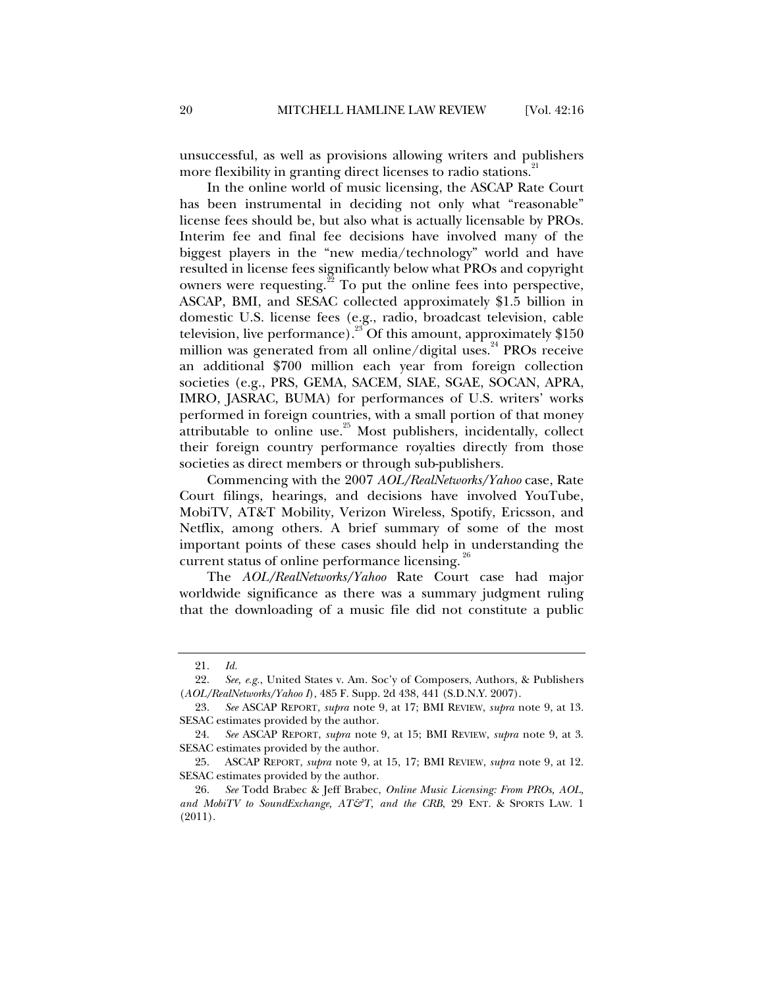unsuccessful, as well as provisions allowing writers and publishers more flexibility in granting direct licenses to radio stations.<sup>21</sup>

In the online world of music licensing, the ASCAP Rate Court has been instrumental in deciding not only what "reasonable" license fees should be, but also what is actually licensable by PROs. Interim fee and final fee decisions have involved many of the biggest players in the "new media/technology" world and have resulted in license fees significantly below what PROs and copyright owners were requesting.<sup>22</sup> To put the online fees into perspective, ASCAP, BMI, and SESAC collected approximately \$1.5 billion in domestic U.S. license fees (e.g., radio, broadcast television, cable television, live performance).<sup>23</sup> Of this amount, approximately \$150 million was generated from all online/digital uses.<sup>24</sup> PROs receive an additional \$700 million each year from foreign collection societies (e.g., PRS, GEMA, SACEM, SIAE, SGAE, SOCAN, APRA, IMRO, JASRAC, BUMA) for performances of U.S. writers' works performed in foreign countries, with a small portion of that money attributable to online use. $25$  Most publishers, incidentally, collect their foreign country performance royalties directly from those societies as direct members or through sub-publishers.

Commencing with the 2007 *AOL/RealNetworks/Yahoo* case, Rate Court filings, hearings, and decisions have involved YouTube, MobiTV, AT&T Mobility, Verizon Wireless, Spotify, Ericsson, and Netflix, among others. A brief summary of some of the most important points of these cases should help in understanding the current status of online performance licensing.<sup>26</sup>

The *AOL/RealNetworks/Yahoo* Rate Court case had major worldwide significance as there was a summary judgment ruling that the downloading of a music file did not constitute a public

 <sup>21.</sup> *Id.*

 <sup>22.</sup> *See, e.g.*, United States v. Am. Soc'y of Composers, Authors, & Publishers (*AOL/RealNetworks/Yahoo I*), 485 F. Supp. 2d 438, 441 (S.D.N.Y. 2007).

 <sup>23.</sup> *See* ASCAP REPORT, *supra* note 9, at 17; BMI REVIEW, *supra* note 9, at 13. SESAC estimates provided by the author.

 <sup>24.</sup> *See* ASCAP REPORT, *supra* note 9, at 15; BMI REVIEW, *supra* note 9, at 3. SESAC estimates provided by the author.

 <sup>25.</sup> ASCAP REPORT, *supra* note 9, at 15, 17; BMI REVIEW, *supra* note 9, at 12. SESAC estimates provided by the author.

 <sup>26.</sup> *See* Todd Brabec & Jeff Brabec, *Online Music Licensing: From PROs, AOL, and MobiTV to SoundExchange, AT&T, and the CRB*, 29 ENT. & SPORTS LAW. 1 (2011).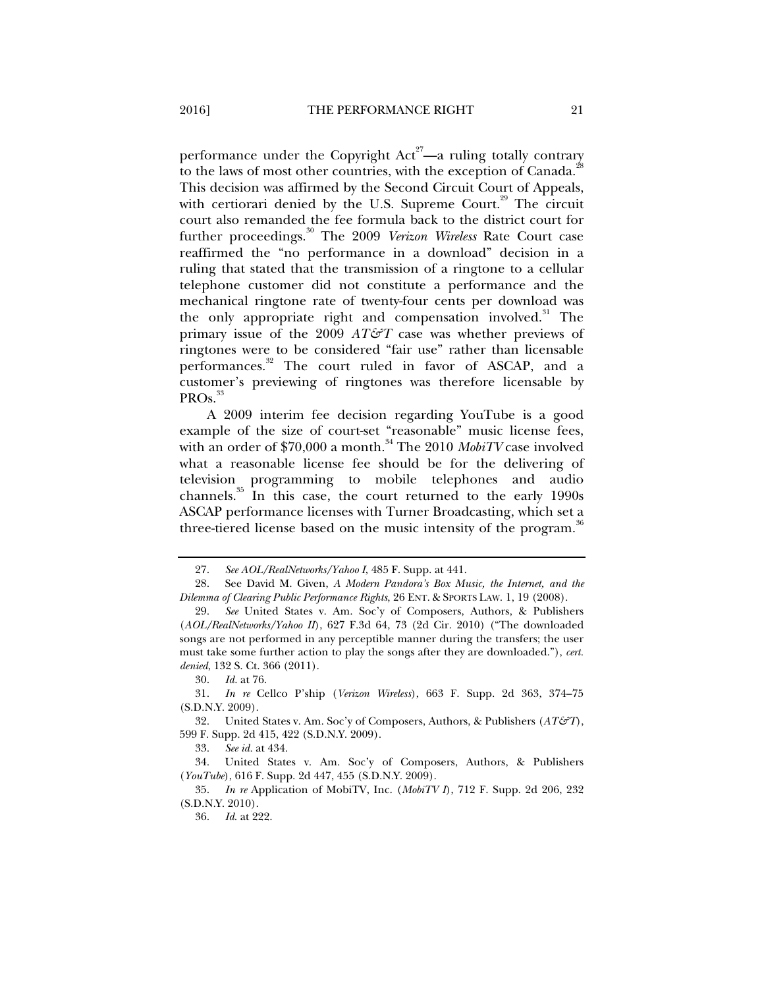performance under the Copyright  $Act^{27}$ —a ruling totally contrary to the laws of most other countries, with the exception of Canada. $^{28}$ This decision was affirmed by the Second Circuit Court of Appeals, with certiorari denied by the U.S. Supreme Court.<sup>29</sup> The circuit court also remanded the fee formula back to the district court for further proceedings.<sup>30</sup> The 2009 *Verizon Wireless* Rate Court case reaffirmed the "no performance in a download" decision in a ruling that stated that the transmission of a ringtone to a cellular telephone customer did not constitute a performance and the mechanical ringtone rate of twenty-four cents per download was the only appropriate right and compensation involved.<sup>31</sup> The primary issue of the 2009 *AT&T* case was whether previews of ringtones were to be considered "fair use" rather than licensable performances.<sup>32</sup> The court ruled in favor of ASCAP, and a customer's previewing of ringtones was therefore licensable by PROs.<sup>33</sup>

A 2009 interim fee decision regarding YouTube is a good example of the size of court-set "reasonable" music license fees, with an order of \$70,000 a month.<sup>34</sup> The 2010 *MobiTV* case involved what a reasonable license fee should be for the delivering of television programming to mobile telephones and audio channels. $35$  In this case, the court returned to the early 1990s ASCAP performance licenses with Turner Broadcasting, which set a three-tiered license based on the music intensity of the program.<sup>36</sup>

33. *See id.* at 434.

 34. United States v. Am. Soc'y of Composers, Authors, & Publishers (*YouTube*), 616 F. Supp. 2d 447, 455 (S.D.N.Y. 2009).

 35. *In re* Application of MobiTV, Inc. (*MobiTV I*), 712 F. Supp. 2d 206, 232 (S.D.N.Y. 2010).

36. *Id*. at 222.

 <sup>27.</sup> *See AOL/RealNetworks/Yahoo I*, 485 F. Supp. at 441.

 <sup>28.</sup> See David M. Given, *A Modern Pandora's Box Music, the Internet, and the Dilemma of Clearing Public Performance Rights*, 26 ENT. & SPORTS LAW. 1, 19 (2008).

 <sup>29.</sup> *See* United States v. Am. Soc'y of Composers, Authors, & Publishers (*AOL/RealNetworks/Yahoo II*), 627 F.3d 64, 73 (2d Cir. 2010) ("The downloaded songs are not performed in any perceptible manner during the transfers; the user must take some further action to play the songs after they are downloaded."), *cert. denied*, 132 S. Ct. 366 (2011).

 <sup>30.</sup> *Id.* at 76.

 <sup>31.</sup> *In re* Cellco P'ship (*Verizon Wireless*), 663 F. Supp. 2d 363, 374–75 (S.D.N.Y. 2009).

 <sup>32.</sup> United States v. Am. Soc'y of Composers, Authors, & Publishers (*AT&T*), 599 F. Supp. 2d 415, 422 (S.D.N.Y. 2009).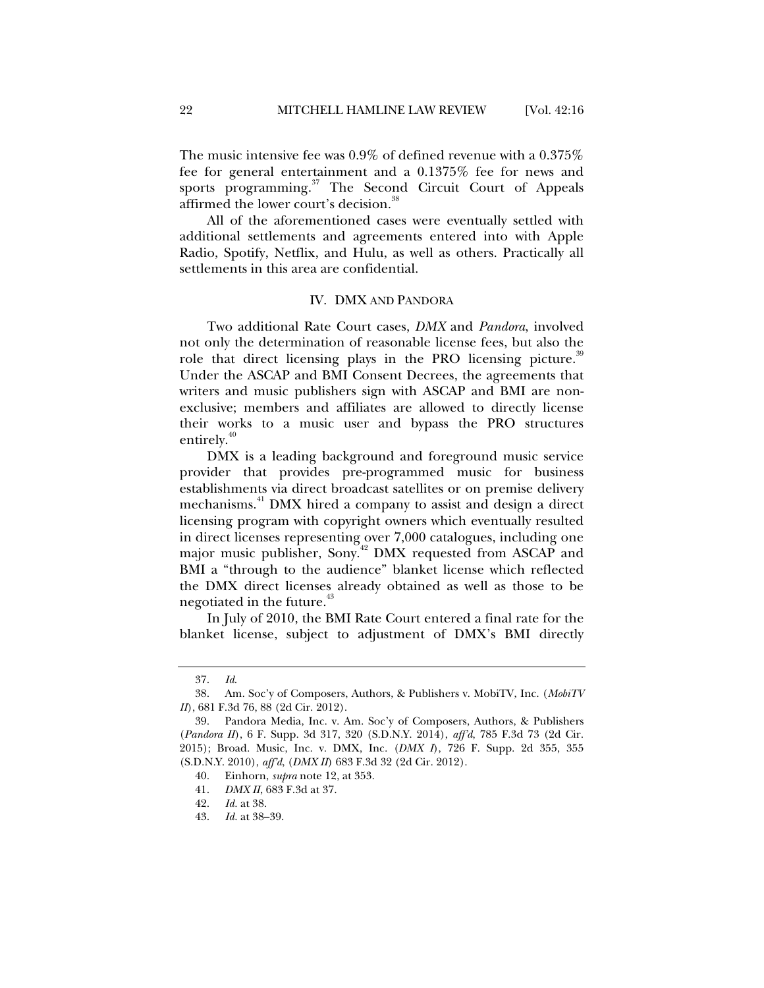The music intensive fee was 0.9% of defined revenue with a 0.375% fee for general entertainment and a 0.1375% fee for news and sports programming.<sup>37</sup> The Second Circuit Court of Appeals affirmed the lower court's decision.<sup>3</sup>

All of the aforementioned cases were eventually settled with additional settlements and agreements entered into with Apple Radio, Spotify, Netflix, and Hulu, as well as others. Practically all settlements in this area are confidential.

#### IV. DMX AND PANDORA

Two additional Rate Court cases, *DMX* and *Pandora*, involved not only the determination of reasonable license fees, but also the role that direct licensing plays in the PRO licensing picture.<sup>39</sup> Under the ASCAP and BMI Consent Decrees, the agreements that writers and music publishers sign with ASCAP and BMI are nonexclusive; members and affiliates are allowed to directly license their works to a music user and bypass the PRO structures entirely.<sup>40</sup>

DMX is a leading background and foreground music service provider that provides pre-programmed music for business establishments via direct broadcast satellites or on premise delivery mechanisms.<sup>41</sup> DMX hired a company to assist and design a direct licensing program with copyright owners which eventually resulted in direct licenses representing over 7,000 catalogues, including one major music publisher, Sony.<sup>42</sup> DMX requested from ASCAP and BMI a "through to the audience" blanket license which reflected the DMX direct licenses already obtained as well as those to be negotiated in the future.<sup>43</sup>

In July of 2010, the BMI Rate Court entered a final rate for the blanket license, subject to adjustment of DMX's BMI directly

 <sup>37.</sup> *Id*.

 <sup>38.</sup> Am. Soc'y of Composers, Authors, & Publishers v. MobiTV, Inc. (*MobiTV II*), 681 F.3d 76, 88 (2d Cir. 2012).

 <sup>39.</sup> Pandora Media, Inc. v. Am. Soc'y of Composers, Authors, & Publishers (*Pandora II*), 6 F. Supp. 3d 317, 320 (S.D.N.Y. 2014), *aff'd*, 785 F.3d 73 (2d Cir. 2015); Broad. Music, Inc. v. DMX, Inc. (*DMX I*), 726 F. Supp. 2d 355, 355 (S.D.N.Y. 2010), *aff'd*, (*DMX II*) 683 F.3d 32 (2d Cir. 2012).

 <sup>40.</sup> Einhorn, *supra* note 12, at 353.

 <sup>41.</sup> *DMX II*, 683 F.3d at 37.

 <sup>42.</sup> *Id.* at 38.

 <sup>43.</sup> *Id.* at 38–39.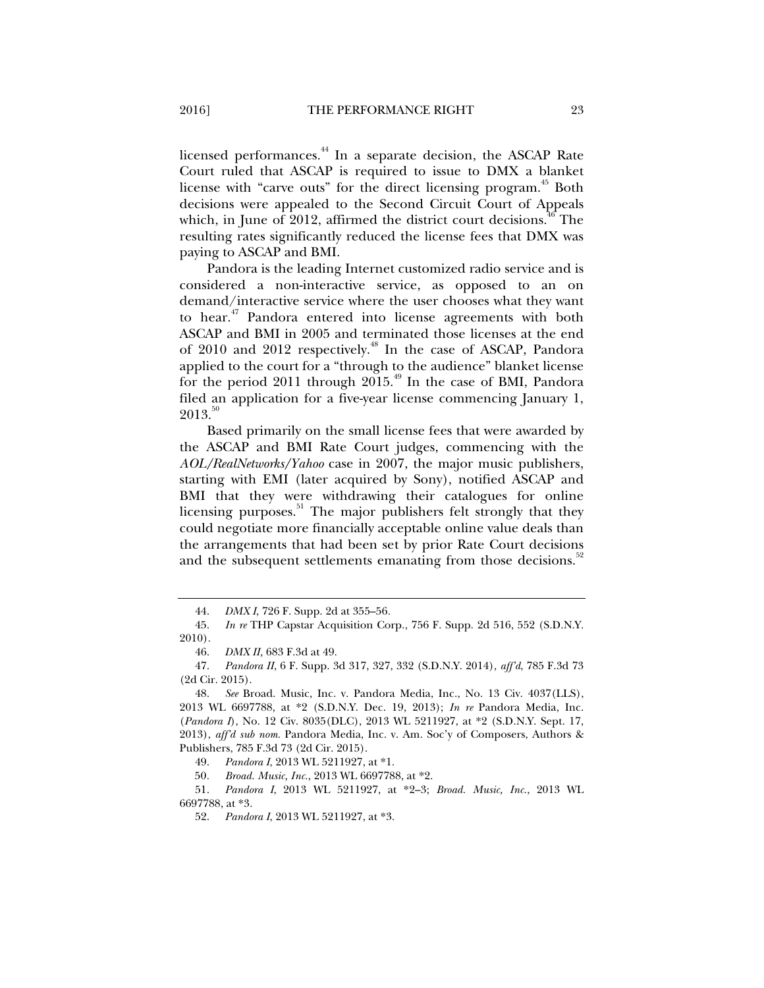licensed performances.<sup>44</sup> In a separate decision, the ASCAP Rate Court ruled that ASCAP is required to issue to DMX a blanket license with "carve outs" for the direct licensing program.<sup>45</sup> Both decisions were appealed to the Second Circuit Court of Appeals which, in June of 2012, affirmed the district court decisions.<sup>46</sup> The resulting rates significantly reduced the license fees that DMX was paying to ASCAP and BMI.

Pandora is the leading Internet customized radio service and is considered a non-interactive service, as opposed to an on demand/interactive service where the user chooses what they want to hear.<sup>47</sup> Pandora entered into license agreements with both ASCAP and BMI in 2005 and terminated those licenses at the end of 2010 and 2012 respectively.<sup>48</sup> In the case of ASCAP, Pandora applied to the court for a "through to the audience" blanket license for the period 2011 through  $2015.^{49}$  In the case of BMI, Pandora filed an application for a five-year license commencing January 1,  $2013.^{50}$ 

Based primarily on the small license fees that were awarded by the ASCAP and BMI Rate Court judges, commencing with the *AOL/RealNetworks/Yahoo* case in 2007, the major music publishers, starting with EMI (later acquired by Sony), notified ASCAP and BMI that they were withdrawing their catalogues for online licensing purposes.<sup>51</sup> The major publishers felt strongly that they could negotiate more financially acceptable online value deals than the arrangements that had been set by prior Rate Court decisions and the subsequent settlements emanating from those decisions.<sup>3</sup>

 <sup>44.</sup> *DMX I*, 726 F. Supp. 2d at 355–56*.*

 <sup>45.</sup> *In re* THP Capstar Acquisition Corp., 756 F. Supp. 2d 516, 552 (S.D.N.Y. 2010).

 <sup>46.</sup> *DMX II,* 683 F.3d at 49.

 <sup>47.</sup> *Pandora II*, 6 F. Supp. 3d 317, 327, 332 (S.D.N.Y. 2014), *aff'd*, 785 F.3d 73 (2d Cir. 2015).

 <sup>48.</sup> *See* Broad. Music, Inc. v. Pandora Media, Inc., No. 13 Civ. 4037(LLS), 2013 WL 6697788, at \*2 (S.D.N.Y. Dec. 19, 2013); *In re* Pandora Media, Inc. (*Pandora I*), No. 12 Civ. 8035(DLC), 2013 WL 5211927, at \*2 (S.D.N.Y. Sept. 17, 2013), *aff'd sub nom.* Pandora Media, Inc. v. Am. Soc'y of Composers, Authors & Publishers, 785 F.3d 73 (2d Cir. 2015).

 <sup>49.</sup> *Pandora I*, 2013 WL 5211927, at \*1.

<sup>50</sup>*. Broad. Music, Inc.*, 2013 WL 6697788, at \*2.

 <sup>51.</sup> *Pandora I*, 2013 WL 5211927, at \*2–3; *Broad. Music, Inc.*, 2013 WL 6697788, at \*3.

 <sup>52.</sup> *Pandora I*, 2013 WL 5211927, at \*3.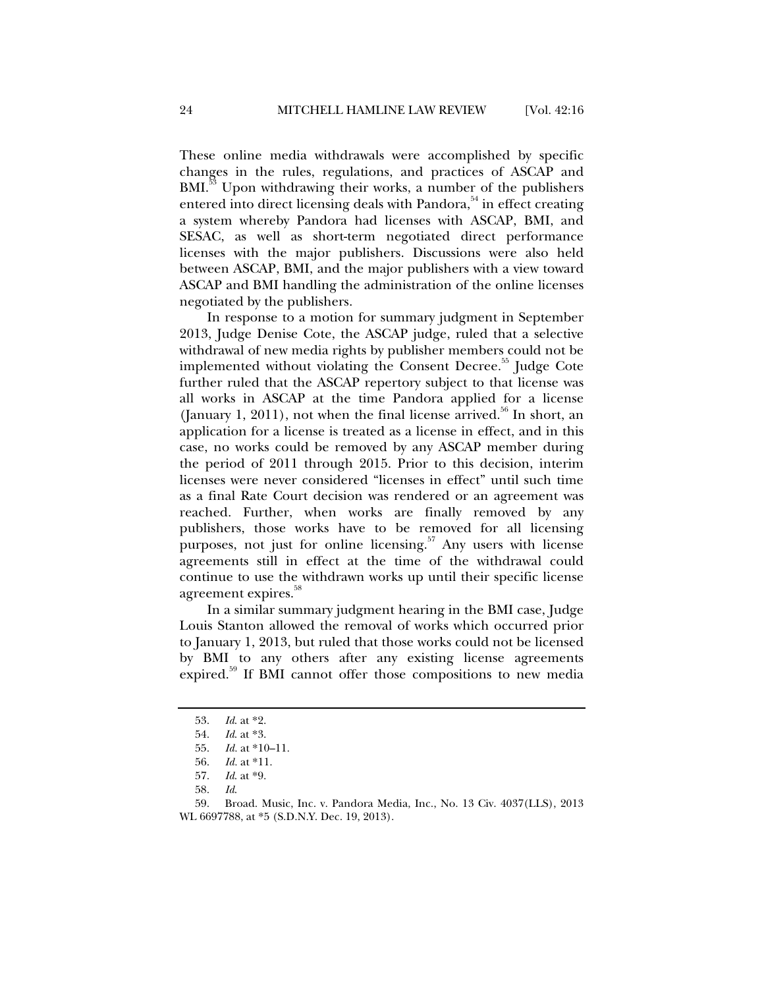These online media withdrawals were accomplished by specific changes in the rules, regulations, and practices of ASCAP and BMI.<sup>33</sup> Upon withdrawing their works, a number of the publishers entered into direct licensing deals with Pandora,<sup>54</sup> in effect creating a system whereby Pandora had licenses with ASCAP, BMI, and SESAC, as well as short-term negotiated direct performance licenses with the major publishers. Discussions were also held between ASCAP, BMI, and the major publishers with a view toward ASCAP and BMI handling the administration of the online licenses negotiated by the publishers.

In response to a motion for summary judgment in September 2013, Judge Denise Cote, the ASCAP judge, ruled that a selective withdrawal of new media rights by publisher members could not be implemented without violating the Consent Decree.<sup>35</sup> Judge Cote further ruled that the ASCAP repertory subject to that license was all works in ASCAP at the time Pandora applied for a license (January 1, 2011), not when the final license arrived.<sup>56</sup> In short, an application for a license is treated as a license in effect, and in this case, no works could be removed by any ASCAP member during the period of 2011 through 2015. Prior to this decision, interim licenses were never considered "licenses in effect" until such time as a final Rate Court decision was rendered or an agreement was reached. Further, when works are finally removed by any publishers, those works have to be removed for all licensing purposes, not just for online licensing. $57$  Any users with license agreements still in effect at the time of the withdrawal could continue to use the withdrawn works up until their specific license agreement expires.<sup>88</sup>

In a similar summary judgment hearing in the BMI case, Judge Louis Stanton allowed the removal of works which occurred prior to January 1, 2013, but ruled that those works could not be licensed by BMI to any others after any existing license agreements expired.<sup>59</sup> If BMI cannot offer those compositions to new media

 <sup>53.</sup> *Id*. at \*2.

 <sup>54.</sup> *Id*. at \*3.

 <sup>55.</sup> *Id.* at \*10–11.

 <sup>56.</sup> *Id.* at \*11.

 <sup>57.</sup> *Id*. at \*9.

 <sup>58.</sup> *Id*.

 <sup>59.</sup> Broad. Music, Inc. v. Pandora Media, Inc., No. 13 Civ. 4037(LLS), 2013 WL 6697788, at \*5 (S.D.N.Y. Dec. 19, 2013).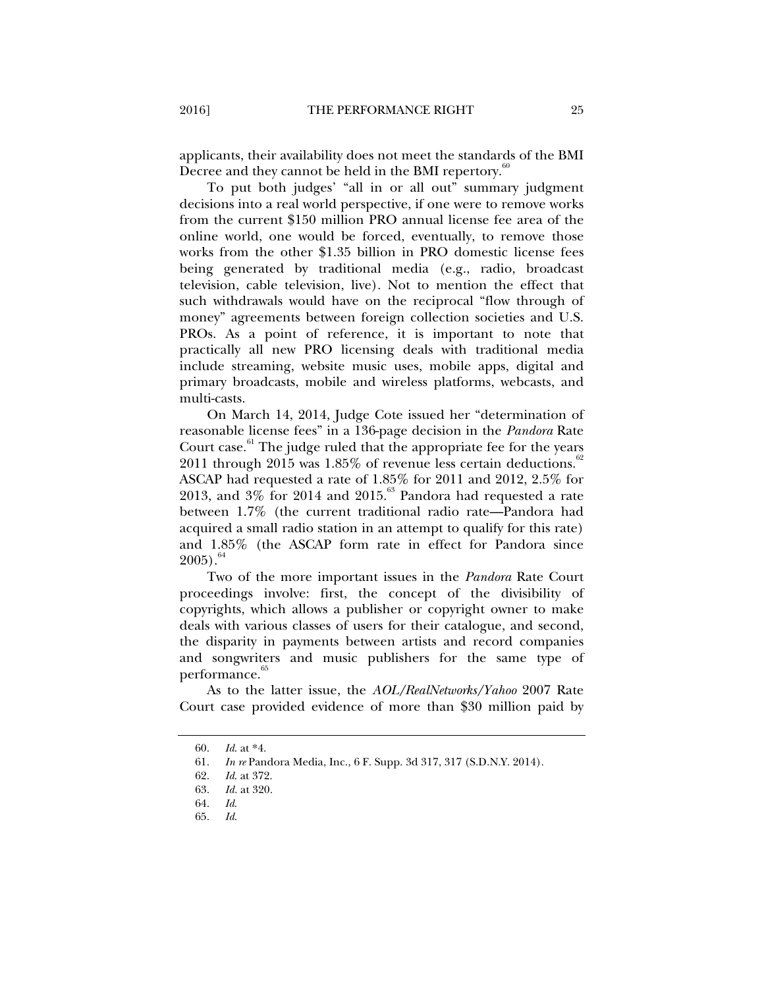applicants, their availability does not meet the standards of the BMI Decree and they cannot be held in the BMI repertory. $\frac{60}{100}$ 

To put both judges' "all in or all out" summary judgment decisions into a real world perspective, if one were to remove works from the current \$150 million PRO annual license fee area of the online world, one would be forced, eventually, to remove those works from the other \$1.35 billion in PRO domestic license fees being generated by traditional media (e.g., radio, broadcast television, cable television, live). Not to mention the effect that such withdrawals would have on the reciprocal "flow through of money" agreements between foreign collection societies and U.S. PROs. As a point of reference, it is important to note that practically all new PRO licensing deals with traditional media include streaming, website music uses, mobile apps, digital and primary broadcasts, mobile and wireless platforms, webcasts, and multi-casts.

On March 14, 2014, Judge Cote issued her "determination of reasonable license fees" in a 136-page decision in the *Pandora* Rate Court case. $61$  The judge ruled that the appropriate fee for the years 2011 through 2015 was  $1.85\%$  of revenue less certain deductions.<sup>62</sup> ASCAP had requested a rate of 1.85% for 2011 and 2012, 2.5% for 2013, and  $3\%$  for 2014 and 2015.<sup>63</sup> Pandora had requested a rate between 1.7% (the current traditional radio rate—Pandora had acquired a small radio station in an attempt to qualify for this rate) and 1.85% (the ASCAP form rate in effect for Pandora since  $2005$ ).<sup>64</sup>

Two of the more important issues in the *Pandora* Rate Court proceedings involve: first, the concept of the divisibility of copyrights, which allows a publisher or copyright owner to make deals with various classes of users for their catalogue, and second, the disparity in payments between artists and record companies and songwriters and music publishers for the same type of performance.<sup>65</sup>

As to the latter issue, the *AOL/RealNetworks/Yahoo* 2007 Rate Court case provided evidence of more than \$30 million paid by

 <sup>60.</sup> *Id*. at \*4.

 <sup>61.</sup> *In re* Pandora Media, Inc., 6 F. Supp. 3d 317, 317 (S.D.N.Y. 2014).

 <sup>62.</sup> *Id*. at 372.

 <sup>63.</sup> *Id.* at 320.

 <sup>64.</sup> *Id*.

 <sup>65.</sup> *Id*.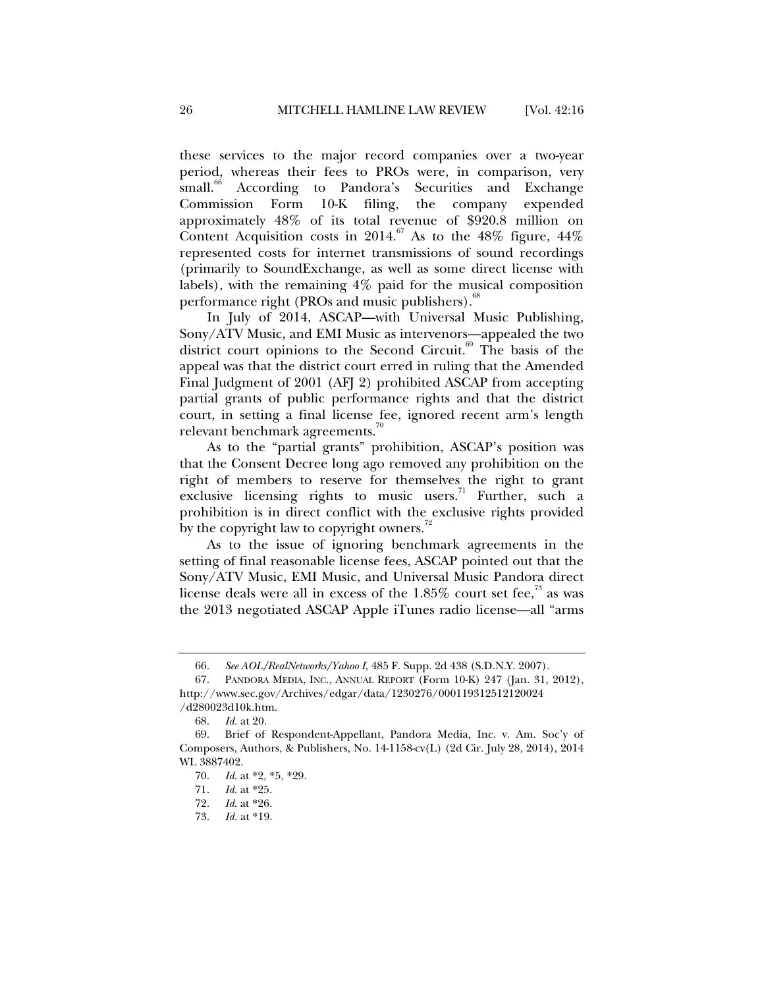these services to the major record companies over a two-year period, whereas their fees to PROs were, in comparison, very small.<sup>66</sup> According to Pandora's Securities and Exchange Commission Form 10-K filing, the company expended approximately 48% of its total revenue of \$920.8 million on Content Acquisition costs in 2014.<sup>67</sup> As to the 48% figure,  $44\%$ represented costs for internet transmissions of sound recordings (primarily to SoundExchange, as well as some direct license with labels), with the remaining 4% paid for the musical composition performance right (PROs and music publishers). $^{\circ\circ}$ 

In July of 2014, ASCAP—with Universal Music Publishing, Sony/ATV Music, and EMI Music as intervenors—appealed the two district court opinions to the Second Circuit.<sup>69</sup> The basis of the appeal was that the district court erred in ruling that the Amended Final Judgment of 2001 (AFJ 2) prohibited ASCAP from accepting partial grants of public performance rights and that the district court, in setting a final license fee, ignored recent arm's length relevant benchmark agreements. $\sqrt{0}$ 

As to the "partial grants" prohibition, ASCAP's position was that the Consent Decree long ago removed any prohibition on the right of members to reserve for themselves the right to grant exclusive licensing rights to music users.<sup>71</sup> Further, such a prohibition is in direct conflict with the exclusive rights provided by the copyright law to copyright owners.<sup>72</sup>

As to the issue of ignoring benchmark agreements in the setting of final reasonable license fees, ASCAP pointed out that the Sony/ATV Music, EMI Music, and Universal Music Pandora direct license deals were all in excess of the  $1.85\%$  court set fee,<sup>33</sup> as was the 2013 negotiated ASCAP Apple iTunes radio license—all "arms

 <sup>66.</sup> *See AOL/RealNetworks/Yahoo I*, 485 F. Supp. 2d 438 (S.D.N.Y. 2007).

 <sup>67.</sup> PANDORA MEDIA, INC., ANNUAL REPORT (Form 10-K) 247 (Jan. 31, 2012), http://www.sec.gov/Archives/edgar/data/1230276/000119312512120024 /d280023d10k.htm.

 <sup>68.</sup> *Id.* at 20.

 <sup>69.</sup> Brief of Respondent-Appellant, Pandora Media, Inc. v. Am. Soc'y of Composers, Authors, & Publishers, No. 14-1158-cv(L) (2d Cir. July 28, 2014), 2014 WL 3887402.

 <sup>70.</sup> *Id*. at \*2, \*5, \*29.

 <sup>71.</sup> *Id*. at \*25.

*Id.* at \*26.

 <sup>73.</sup> *Id.* at \*19.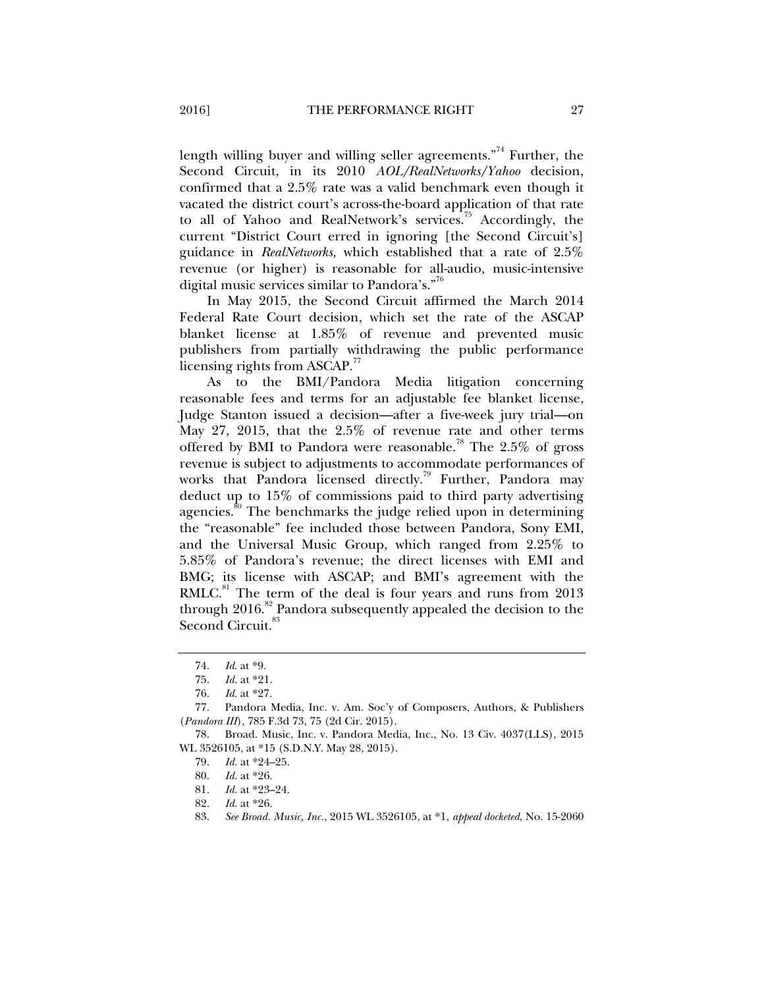length willing buyer and willing seller agreements."<sup>74</sup> Further, the Second Circuit, in its 2010 *AOL/RealNetworks/Yahoo* decision, confirmed that a 2.5% rate was a valid benchmark even though it vacated the district court's across-the-board application of that rate to all of Yahoo and RealNetwork's services.<sup>75</sup> Accordingly, the current "District Court erred in ignoring [the Second Circuit's] guidance in *RealNetworks,* which established that a rate of 2.5% revenue (or higher) is reasonable for all-audio, music-intensive digital music services similar to Pandora's."<sup>76</sup>

In May 2015, the Second Circuit affirmed the March 2014 Federal Rate Court decision, which set the rate of the ASCAP blanket license at 1.85% of revenue and prevented music publishers from partially withdrawing the public performance licensing rights from  $ASCAP.$ <sup>77</sup>

As to the BMI/Pandora Media litigation concerning reasonable fees and terms for an adjustable fee blanket license, Judge Stanton issued a decision—after a five-week jury trial—on May 27, 2015, that the 2.5% of revenue rate and other terms offered by BMI to Pandora were reasonable.<sup>78</sup> The 2.5% of gross revenue is subject to adjustments to accommodate performances of works that Pandora licensed directly.<sup>79</sup> Further, Pandora may deduct up to 15% of commissions paid to third party advertising agencies.<sup>80</sup> The benchmarks the judge relied upon in determining the "reasonable" fee included those between Pandora, Sony EMI, and the Universal Music Group, which ranged from 2.25% to 5.85% of Pandora's revenue; the direct licenses with EMI and BMG; its license with ASCAP; and BMI's agreement with the  $RMLC<sup>81</sup>$  The term of the deal is four years and runs from 2013 through  $2016$ .<sup>82</sup> Pandora subsequently appealed the decision to the Second Circuit.<sup>83</sup>

82. *Id.* at \*26.

 <sup>74.</sup> *Id*. at \*9.

 <sup>75.</sup> *Id.* at \*21.

 <sup>76.</sup> *Id*. at \*27.

 <sup>77.</sup> Pandora Media, Inc. v. Am. Soc'y of Composers, Authors, & Publishers (*Pandora III*), 785 F.3d 73, 75 (2d Cir. 2015).

 <sup>78.</sup> Broad. Music, Inc. v. Pandora Media, Inc., No. 13 Civ. 4037(LLS), 2015 WL 3526105, at \*15 (S.D.N.Y. May 28, 2015).

 <sup>79.</sup> *Id.* at \*24–25.

 <sup>80.</sup> *Id.* at \*26.

 <sup>81.</sup> *Id.* at \*23–24.

 <sup>83.</sup> *See Broad. Music, Inc.*, 2015 WL 3526105, at \*1, *appeal docketed*, No. 15-2060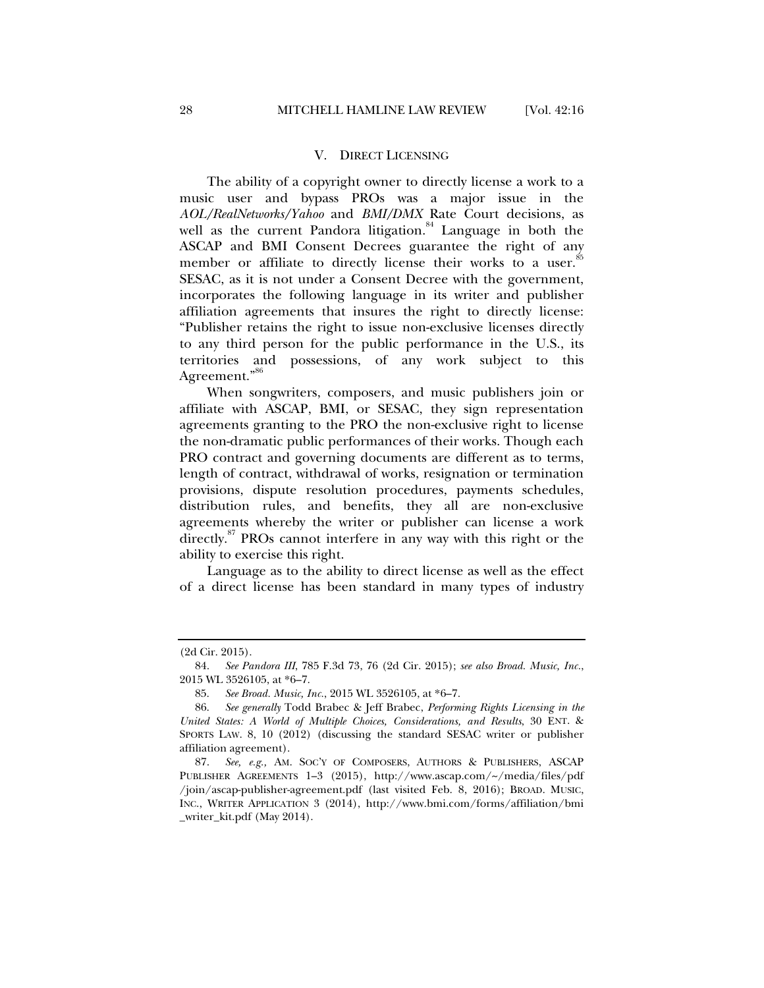#### V. DIRECT LICENSING

The ability of a copyright owner to directly license a work to a music user and bypass PROs was a major issue in the *AOL/RealNetworks/Yahoo* and *BMI/DMX* Rate Court decisions, as well as the current Pandora litigation. $84$  Language in both the ASCAP and BMI Consent Decrees guarantee the right of any member or affiliate to directly license their works to a user.<sup>85</sup> SESAC, as it is not under a Consent Decree with the government, incorporates the following language in its writer and publisher affiliation agreements that insures the right to directly license: "Publisher retains the right to issue non-exclusive licenses directly to any third person for the public performance in the U.S., its territories and possessions, of any work subject to this Agreement."<sup>86</sup>

When songwriters, composers, and music publishers join or affiliate with ASCAP, BMI, or SESAC, they sign representation agreements granting to the PRO the non-exclusive right to license the non-dramatic public performances of their works. Though each PRO contract and governing documents are different as to terms, length of contract, withdrawal of works, resignation or termination provisions, dispute resolution procedures, payments schedules, distribution rules, and benefits, they all are non-exclusive agreements whereby the writer or publisher can license a work directly.<sup>87</sup> PROs cannot interfere in any way with this right or the ability to exercise this right.

Language as to the ability to direct license as well as the effect of a direct license has been standard in many types of industry

<sup>(2</sup>d Cir. 2015).

 <sup>84.</sup> *See Pandora III*, 785 F.3d 73, 76 (2d Cir. 2015); *see also Broad. Music, Inc.*, 2015 WL 3526105, at \*6–7.

 <sup>85.</sup> *See Broad. Music, Inc.*, 2015 WL 3526105, at \*6–7.

 <sup>86.</sup> *See generally* Todd Brabec & Jeff Brabec, *Performing Rights Licensing in the United States: A World of Multiple Choices, Considerations, and Results*, 30 ENT. & SPORTS LAW. 8, 10 (2012) (discussing the standard SESAC writer or publisher affiliation agreement).

 <sup>87.</sup> *See, e.g.,* AM. SOC'Y OF COMPOSERS, AUTHORS & PUBLISHERS, ASCAP PUBLISHER AGREEMENTS 1–3 (2015), http://www.ascap.com/~/media/files/pdf /join/ascap-publisher-agreement.pdf (last visited Feb. 8, 2016); BROAD. MUSIC, INC., WRITER APPLICATION 3 (2014), http://www.bmi.com/forms/affiliation/bmi \_writer\_kit.pdf (May 2014).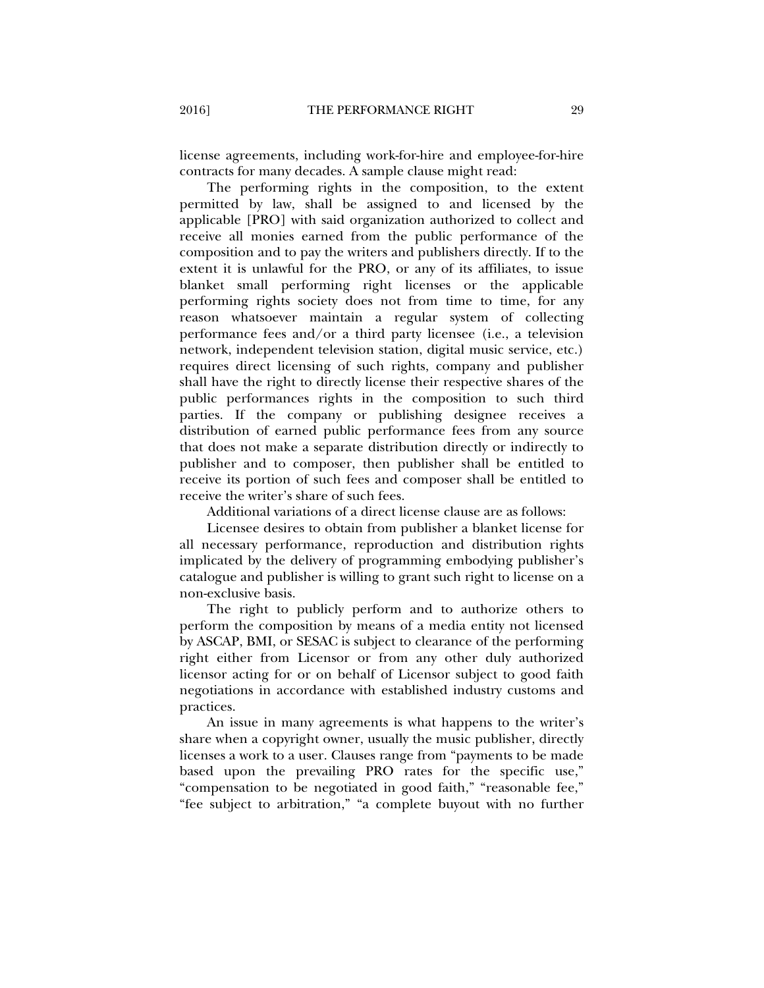license agreements, including work-for-hire and employee-for-hire contracts for many decades. A sample clause might read:

The performing rights in the composition, to the extent permitted by law, shall be assigned to and licensed by the applicable [PRO] with said organization authorized to collect and receive all monies earned from the public performance of the composition and to pay the writers and publishers directly. If to the extent it is unlawful for the PRO, or any of its affiliates, to issue blanket small performing right licenses or the applicable performing rights society does not from time to time, for any reason whatsoever maintain a regular system of collecting performance fees and/or a third party licensee (i.e., a television network, independent television station, digital music service, etc.) requires direct licensing of such rights, company and publisher shall have the right to directly license their respective shares of the public performances rights in the composition to such third parties. If the company or publishing designee receives a distribution of earned public performance fees from any source that does not make a separate distribution directly or indirectly to publisher and to composer, then publisher shall be entitled to receive its portion of such fees and composer shall be entitled to receive the writer's share of such fees.

Additional variations of a direct license clause are as follows:

Licensee desires to obtain from publisher a blanket license for all necessary performance, reproduction and distribution rights implicated by the delivery of programming embodying publisher's catalogue and publisher is willing to grant such right to license on a non-exclusive basis.

The right to publicly perform and to authorize others to perform the composition by means of a media entity not licensed by ASCAP, BMI, or SESAC is subject to clearance of the performing right either from Licensor or from any other duly authorized licensor acting for or on behalf of Licensor subject to good faith negotiations in accordance with established industry customs and practices.

An issue in many agreements is what happens to the writer's share when a copyright owner, usually the music publisher, directly licenses a work to a user. Clauses range from "payments to be made based upon the prevailing PRO rates for the specific use," "compensation to be negotiated in good faith," "reasonable fee," "fee subject to arbitration," "a complete buyout with no further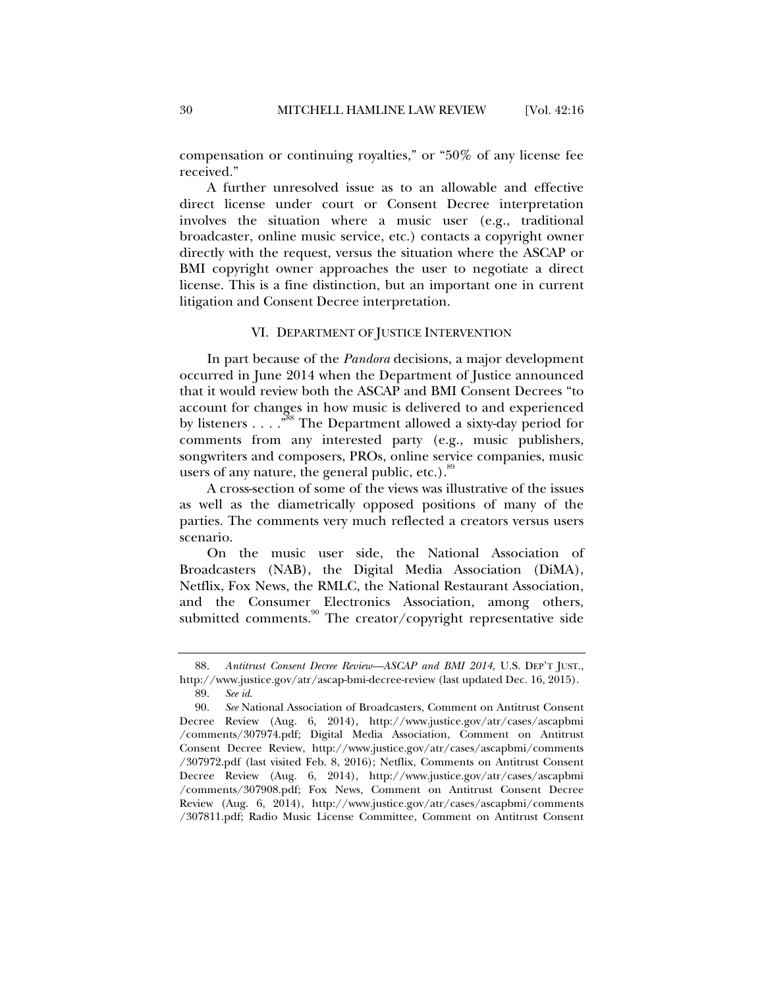compensation or continuing royalties," or "50% of any license fee received."

A further unresolved issue as to an allowable and effective direct license under court or Consent Decree interpretation involves the situation where a music user (e.g., traditional broadcaster, online music service, etc.) contacts a copyright owner directly with the request, versus the situation where the ASCAP or BMI copyright owner approaches the user to negotiate a direct license. This is a fine distinction, but an important one in current litigation and Consent Decree interpretation.

#### VI. DEPARTMENT OF JUSTICE INTERVENTION

In part because of the *Pandora* decisions, a major development occurred in June 2014 when the Department of Justice announced that it would review both the ASCAP and BMI Consent Decrees "to account for changes in how music is delivered to and experienced by listeners  $\dots$ ."<sup>88</sup> The Department allowed a sixty-day period for comments from any interested party (e.g., music publishers, songwriters and composers, PROs, online service companies, music users of any nature, the general public, etc.).<sup>89</sup>

A cross-section of some of the views was illustrative of the issues as well as the diametrically opposed positions of many of the parties. The comments very much reflected a creators versus users scenario.

On the music user side, the National Association of Broadcasters (NAB), the Digital Media Association (DiMA), Netflix, Fox News, the RMLC, the National Restaurant Association, and the Consumer Electronics Association, among others, submitted comments.<sup>90</sup> The creator/copyright representative side

 <sup>88.</sup> *Antitrust Consent Decree Review—ASCAP and BMI 2014*, U.S. DEP'T JUST., http://www.justice.gov/atr/ascap-bmi-decree-review (last updated Dec. 16, 2015). 89. *See id*.

 <sup>90.</sup> *See* National Association of Broadcasters, Comment on Antitrust Consent Decree Review (Aug. 6, 2014), http://www.justice.gov/atr/cases/ascapbmi /comments/307974.pdf; Digital Media Association, Comment on Antitrust Consent Decree Review, http://www.justice.gov/atr/cases/ascapbmi/comments /307972.pdf (last visited Feb. 8, 2016); Netflix, Comments on Antitrust Consent Decree Review (Aug. 6, 2014), http://www.justice.gov/atr/cases/ascapbmi /comments/307908.pdf; Fox News, Comment on Antitrust Consent Decree Review (Aug. 6, 2014), http://www.justice.gov/atr/cases/ascapbmi/comments /307811.pdf; Radio Music License Committee, Comment on Antitrust Consent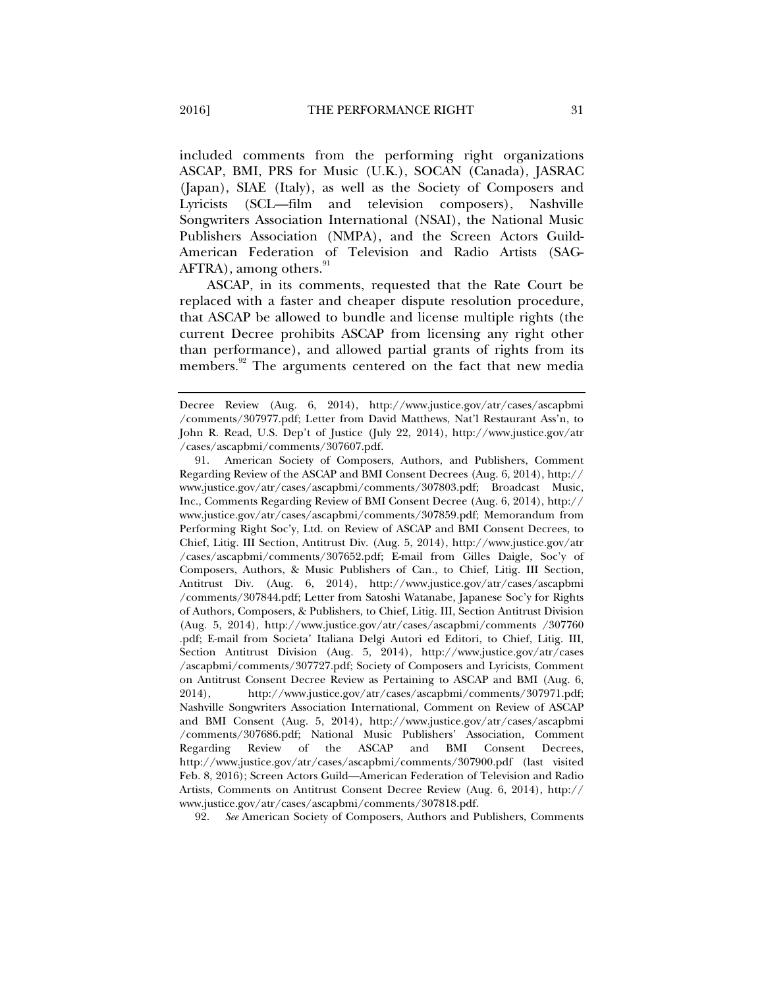included comments from the performing right organizations ASCAP, BMI, PRS for Music (U.K.), SOCAN (Canada), JASRAC (Japan), SIAE (Italy), as well as the Society of Composers and Lyricists (SCL—film and television composers), Nashville Songwriters Association International (NSAI), the National Music Publishers Association (NMPA), and the Screen Actors Guild-American Federation of Television and Radio Artists (SAG-AFTRA), among others.<sup>91</sup>

ASCAP, in its comments, requested that the Rate Court be replaced with a faster and cheaper dispute resolution procedure, that ASCAP be allowed to bundle and license multiple rights (the current Decree prohibits ASCAP from licensing any right other than performance), and allowed partial grants of rights from its members.<sup>92</sup> The arguments centered on the fact that new media

92. *See* American Society of Composers, Authors and Publishers, Comments

Decree Review (Aug. 6, 2014), http://www.justice.gov/atr/cases/ascapbmi /comments/307977.pdf; Letter from David Matthews, Nat'l Restaurant Ass'n, to John R. Read, U.S. Dep't of Justice (July 22, 2014), http://www.justice.gov/atr /cases/ascapbmi/comments/307607.pdf.

 <sup>91.</sup> American Society of Composers, Authors, and Publishers, Comment Regarding Review of the ASCAP and BMI Consent Decrees (Aug. 6, 2014), http:// www.justice.gov/atr/cases/ascapbmi/comments/307803.pdf; Broadcast Music, Inc., Comments Regarding Review of BMI Consent Decree (Aug. 6, 2014), http:// www.justice.gov/atr/cases/ascapbmi/comments/307859.pdf; Memorandum from Performing Right Soc'y, Ltd. on Review of ASCAP and BMI Consent Decrees, to Chief, Litig. III Section, Antitrust Div. (Aug. 5, 2014), http://www.justice.gov/atr /cases/ascapbmi/comments/307652.pdf; E-mail from Gilles Daigle, Soc'y of Composers, Authors, & Music Publishers of Can., to Chief, Litig. III Section, Antitrust Div. (Aug. 6, 2014), http://www.justice.gov/atr/cases/ascapbmi /comments/307844.pdf; Letter from Satoshi Watanabe, Japanese Soc'y for Rights of Authors, Composers, & Publishers, to Chief, Litig. III, Section Antitrust Division (Aug. 5, 2014), http://www.justice.gov/atr/cases/ascapbmi/comments /307760 .pdf; E-mail from Societa' Italiana Delgi Autori ed Editori, to Chief, Litig. III, Section Antitrust Division (Aug. 5, 2014), http://www.justice.gov/atr/cases /ascapbmi/comments/307727.pdf; Society of Composers and Lyricists, Comment on Antitrust Consent Decree Review as Pertaining to ASCAP and BMI (Aug. 6, 2014), http://www.justice.gov/atr/cases/ascapbmi/comments/307971.pdf; Nashville Songwriters Association International, Comment on Review of ASCAP and BMI Consent (Aug. 5, 2014), http://www.justice.gov/atr/cases/ascapbmi /comments/307686.pdf; National Music Publishers' Association, Comment Regarding Review of the ASCAP and BMI Consent Decrees, http://www.justice.gov/atr/cases/ascapbmi/comments/307900.pdf (last visited Feb. 8, 2016); Screen Actors Guild—American Federation of Television and Radio Artists, Comments on Antitrust Consent Decree Review (Aug. 6, 2014), http:// www.justice.gov/atr/cases/ascapbmi/comments/307818.pdf.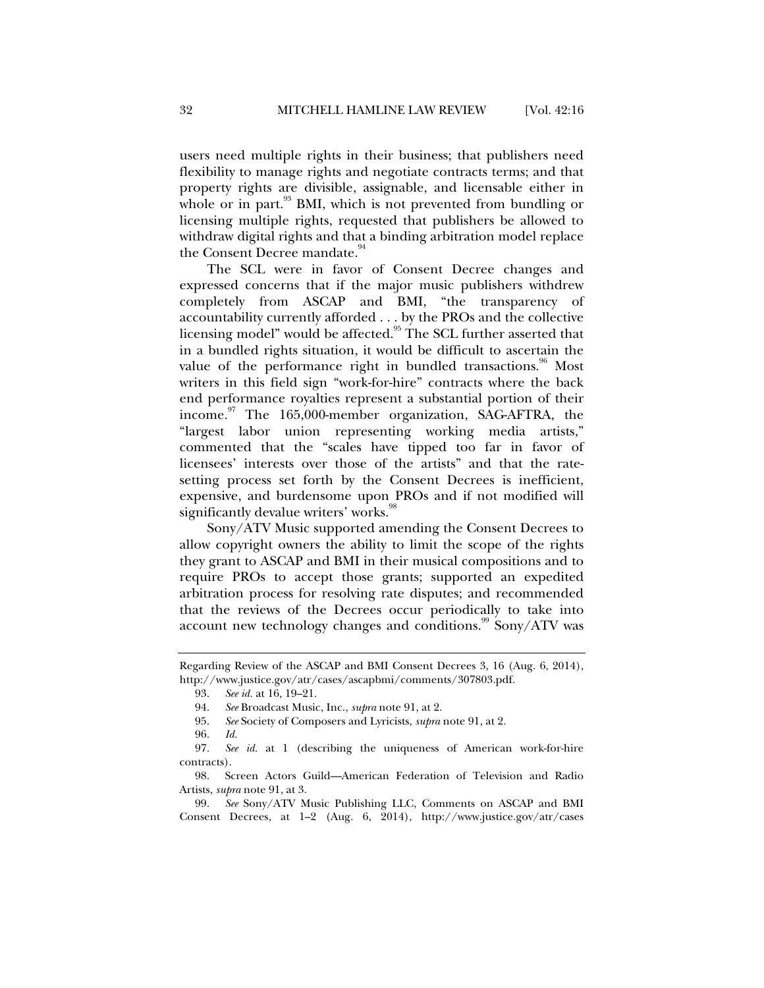users need multiple rights in their business; that publishers need flexibility to manage rights and negotiate contracts terms; and that property rights are divisible, assignable, and licensable either in whole or in part.<sup>93</sup> BMI, which is not prevented from bundling or licensing multiple rights, requested that publishers be allowed to withdraw digital rights and that a binding arbitration model replace the Consent Decree mandate.<sup>94</sup>

The SCL were in favor of Consent Decree changes and expressed concerns that if the major music publishers withdrew completely from ASCAP and BMI, "the transparency of accountability currently afforded . . . by the PROs and the collective licensing model" would be affected.<sup>95</sup> The SCL further asserted that in a bundled rights situation, it would be difficult to ascertain the value of the performance right in bundled transactions.<sup>96</sup> Most writers in this field sign "work-for-hire" contracts where the back end performance royalties represent a substantial portion of their income.<sup>97</sup> The 165,000-member organization, SAG-AFTRA, the "largest labor union representing working media artists," commented that the "scales have tipped too far in favor of licensees' interests over those of the artists" and that the ratesetting process set forth by the Consent Decrees is inefficient, expensive, and burdensome upon PROs and if not modified will significantly devalue writers' works.<sup>98</sup>

Sony/ATV Music supported amending the Consent Decrees to allow copyright owners the ability to limit the scope of the rights they grant to ASCAP and BMI in their musical compositions and to require PROs to accept those grants; supported an expedited arbitration process for resolving rate disputes; and recommended that the reviews of the Decrees occur periodically to take into account new technology changes and conditions.<sup>99</sup> Sony/ATV was

Regarding Review of the ASCAP and BMI Consent Decrees 3, 16 (Aug. 6, 2014), http://www.justice.gov/atr/cases/ascapbmi/comments/307803.pdf.

 <sup>93.</sup> *See id.* at 16, 19–21.

 <sup>94.</sup> *See* Broadcast Music, Inc., *supra* note 91, at 2.

 <sup>95.</sup> *See* Society of Composers and Lyricists, *supra* note 91, at 2.

 <sup>96.</sup> *Id.*

 <sup>97.</sup> *See id.* at 1 (describing the uniqueness of American work-for-hire contracts).

 <sup>98.</sup> Screen Actors Guild—American Federation of Television and Radio Artists, *supra* note 91, at 3.

 <sup>99.</sup> *See* Sony/ATV Music Publishing LLC, Comments on ASCAP and BMI Consent Decrees, at 1–2 (Aug. 6, 2014), http://www.justice.gov/atr/cases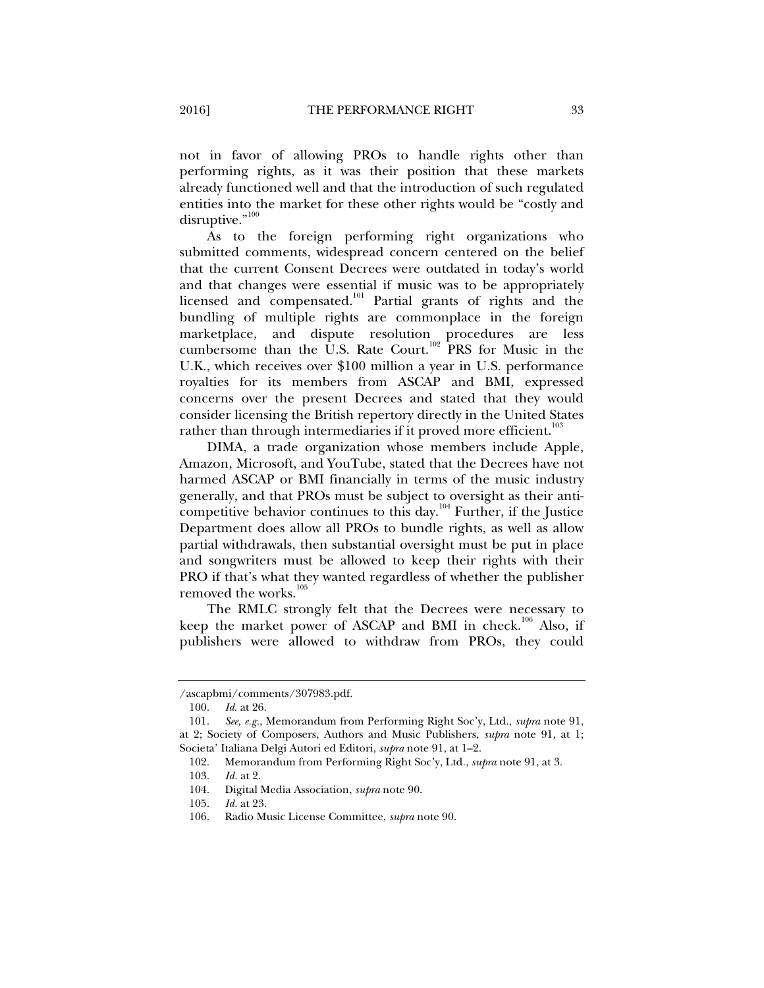not in favor of allowing PROs to handle rights other than performing rights, as it was their position that these markets already functioned well and that the introduction of such regulated entities into the market for these other rights would be "costly and disruptive."<sup>100</sup>

As to the foreign performing right organizations who submitted comments, widespread concern centered on the belief that the current Consent Decrees were outdated in today's world and that changes were essential if music was to be appropriately licensed and compensated.<sup>101</sup> Partial grants of rights and the bundling of multiple rights are commonplace in the foreign marketplace, and dispute resolution procedures are less cumbersome than the U.S. Rate Court.<sup>102</sup> PRS for Music in the U.K., which receives over \$100 million a year in U.S. performance royalties for its members from ASCAP and BMI, expressed concerns over the present Decrees and stated that they would consider licensing the British repertory directly in the United States rather than through intermediaries if it proved more efficient.<sup>103</sup>

DIMA, a trade organization whose members include Apple, Amazon, Microsoft, and YouTube, stated that the Decrees have not harmed ASCAP or BMI financially in terms of the music industry generally, and that PROs must be subject to oversight as their anticompetitive behavior continues to this day.<sup>104</sup> Further, if the Justice Department does allow all PROs to bundle rights, as well as allow partial withdrawals, then substantial oversight must be put in place and songwriters must be allowed to keep their rights with their PRO if that's what they wanted regardless of whether the publisher removed the works. $105$ 

The RMLC strongly felt that the Decrees were necessary to keep the market power of ASCAP and BMI in check.<sup>106</sup> Also, if publishers were allowed to withdraw from PROs, they could

<sup>/</sup>ascapbmi/comments/307983.pdf.

 <sup>100.</sup> *Id*. at 26.

 <sup>101.</sup> *See, e.g.*, Memorandum from Performing Right Soc'y, Ltd., *supra* note 91, at 2; Society of Composers, Authors and Music Publishers, *supra* note 91, at 1; Societa' Italiana Delgi Autori ed Editori, *supra* note 91, at 1–2.

 <sup>102.</sup> Memorandum from Performing Right Soc'y, Ltd., *supra* note 91, at 3.

 <sup>103.</sup> *Id.* at 2.

 <sup>104.</sup> Digital Media Association, *supra* note 90.

 <sup>105.</sup> *Id.* at 23.

 <sup>106.</sup> Radio Music License Committee, *supra* note 90.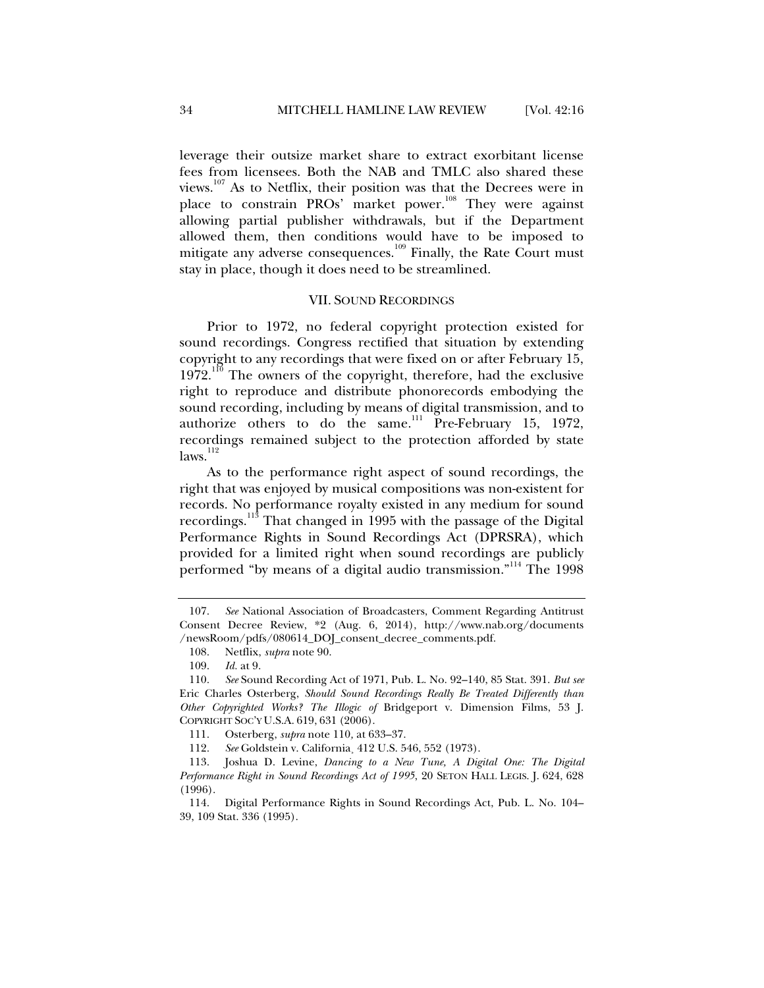leverage their outsize market share to extract exorbitant license fees from licensees. Both the NAB and TMLC also shared these views.107 As to Netflix, their position was that the Decrees were in place to constrain PROs' market power.<sup>108</sup> They were against allowing partial publisher withdrawals, but if the Department allowed them, then conditions would have to be imposed to mitigate any adverse consequences.<sup>109</sup> Finally, the Rate Court must stay in place, though it does need to be streamlined.

#### VII. SOUND RECORDINGS

Prior to 1972, no federal copyright protection existed for sound recordings. Congress rectified that situation by extending copyright to any recordings that were fixed on or after February 15,  $1972$ <sup>110</sup> The owners of the copyright, therefore, had the exclusive right to reproduce and distribute phonorecords embodying the sound recording, including by means of digital transmission, and to authorize others to do the same.<sup>111</sup> Pre-February 15, 1972, recordings remained subject to the protection afforded by state  $laws.<sup>112</sup>$ 

As to the performance right aspect of sound recordings, the right that was enjoyed by musical compositions was non-existent for records. No performance royalty existed in any medium for sound recordings.<sup>113</sup> That changed in 1995 with the passage of the Digital Performance Rights in Sound Recordings Act (DPRSRA), which provided for a limited right when sound recordings are publicly performed "by means of a digital audio transmission."<sup>114</sup> The 1998

 <sup>107.</sup> *See* National Association of Broadcasters, Comment Regarding Antitrust Consent Decree Review, \*2 (Aug. 6, 2014), http://www.nab.org/documents /newsRoom/pdfs/080614\_DOJ\_consent\_decree\_comments.pdf.

 <sup>108.</sup> Netflix, *supra* note 90.

 <sup>109.</sup> *Id.* at 9.

 <sup>110.</sup> *See* Sound Recording Act of 1971, Pub. L. No. 92–140, 85 Stat. 391. *But see* Eric Charles Osterberg, *Should Sound Recordings Really Be Treated Differently than Other Copyrighted Works? The Illogic of* Bridgeport v. Dimension Films, 53 J. COPYRIGHT SOC'Y U.S.A. 619, 631 (2006).

 <sup>111.</sup> Osterberg, *supra* note 110*,* at 633–37.

 <sup>112.</sup> *See* Goldstein v. California¸ 412 U.S. 546, 552 (1973).

 <sup>113.</sup> Joshua D. Levine, *Dancing to a New Tune, A Digital One: The Digital Performance Right in Sound Recordings Act of 1995*, 20 SETON HALL LEGIS. J. 624, 628 (1996).

 <sup>114.</sup> Digital Performance Rights in Sound Recordings Act, Pub. L. No. 104– 39, 109 Stat. 336 (1995).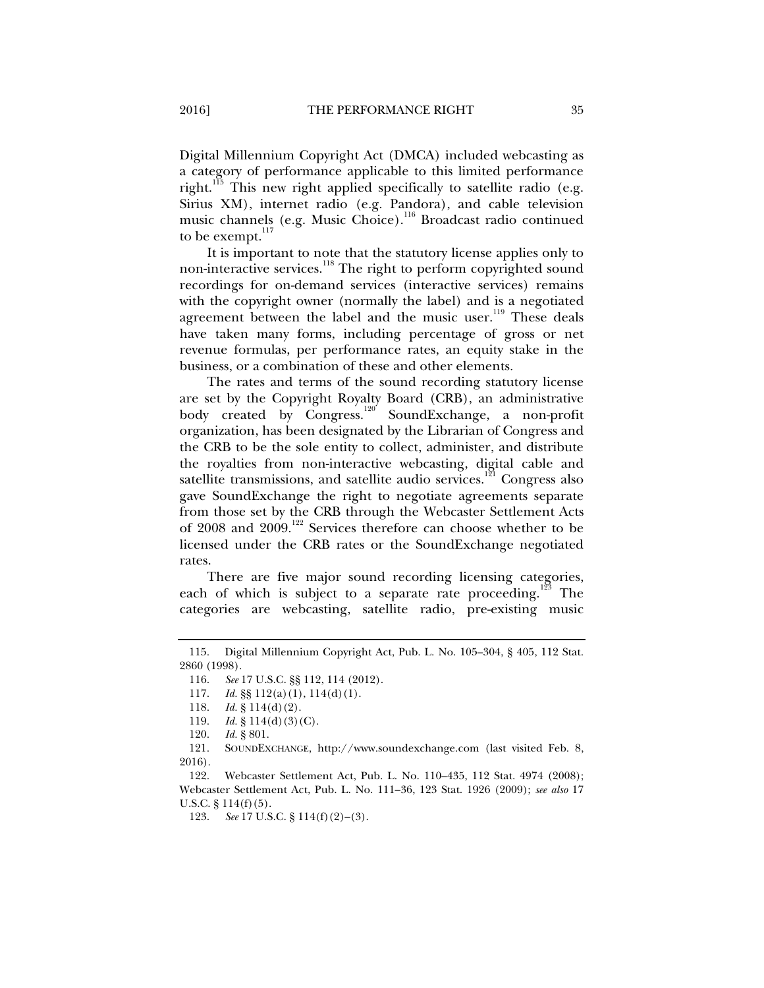Digital Millennium Copyright Act (DMCA) included webcasting as a category of performance applicable to this limited performance right.<sup>115</sup> This new right applied specifically to satellite radio (e.g. Sirius XM), internet radio (e.g. Pandora), and cable television music channels (e.g. Music Choice).<sup>116</sup> Broadcast radio continued to be exempt. $117$ 

It is important to note that the statutory license applies only to non-interactive services.<sup>118</sup> The right to perform copyrighted sound recordings for on-demand services (interactive services) remains with the copyright owner (normally the label) and is a negotiated agreement between the label and the music user.<sup>119</sup> These deals have taken many forms, including percentage of gross or net revenue formulas, per performance rates, an equity stake in the business, or a combination of these and other elements.

The rates and terms of the sound recording statutory license are set by the Copyright Royalty Board (CRB), an administrative body created by Congress.<sup>120</sup> SoundExchange, a non-profit organization, has been designated by the Librarian of Congress and the CRB to be the sole entity to collect, administer, and distribute the royalties from non-interactive webcasting, digital cable and satellite transmissions, and satellite audio services.<sup>121</sup> Congress also gave SoundExchange the right to negotiate agreements separate from those set by the CRB through the Webcaster Settlement Acts of 2008 and 2009.<sup>122</sup> Services therefore can choose whether to be licensed under the CRB rates or the SoundExchange negotiated rates.

There are five major sound recording licensing categories, each of which is subject to a separate rate proceeding.<sup>123</sup> The categories are webcasting, satellite radio, pre-existing music

 <sup>115.</sup> Digital Millennium Copyright Act, Pub. L. No. 105–304, § 405, 112 Stat. 2860 (1998).

 <sup>116.</sup> *See* 17 U.S.C. §§ 112, 114 (2012).

 <sup>117.</sup> *Id.* §§ 112(a)(1), 114(d)(1).

 <sup>118.</sup> *Id.* § 114(d)(2).

<sup>119.</sup> *Id.* § 114(d)(3)(C).

 <sup>120.</sup> *Id.* § 801.

 <sup>121.</sup> SOUNDEXCHANGE, http://www.soundexchange.com (last visited Feb. 8, 2016).

 <sup>122.</sup> Webcaster Settlement Act, Pub. L. No. 110–435, 112 Stat. 4974 (2008); Webcaster Settlement Act, Pub. L. No. 111–36, 123 Stat. 1926 (2009); *see also* 17 U.S.C.  $\S 114(f)(5)$ .

 <sup>123.</sup> *See* 17 U.S.C. § 114(f)(2)–(3).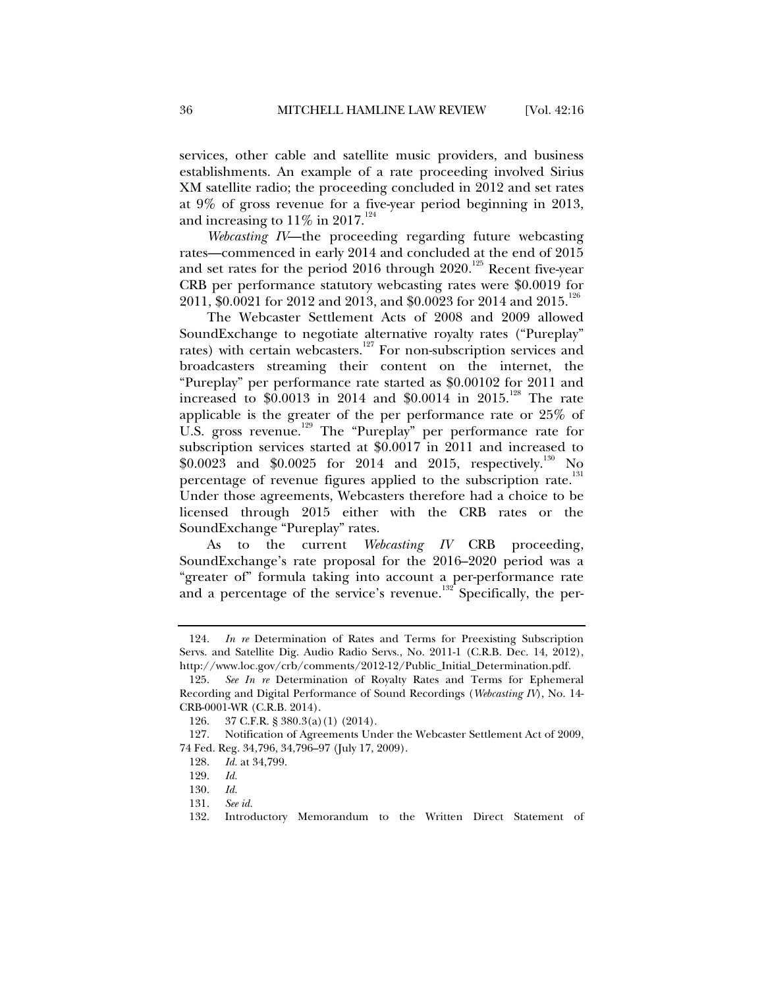services, other cable and satellite music providers, and business establishments. An example of a rate proceeding involved Sirius XM satellite radio; the proceeding concluded in 2012 and set rates at 9% of gross revenue for a five-year period beginning in 2013, and increasing to  $11\%$  in  $2017.^{124}$ 

*Webcasting IV*—the proceeding regarding future webcasting rates—commenced in early 2014 and concluded at the end of 2015 and set rates for the period 2016 through  $2020$ .<sup>125</sup> Recent five-year CRB per performance statutory webcasting rates were \$0.0019 for 2011, \$0.0021 for 2012 and 2013, and \$0.0023 for 2014 and 2015.<sup>126</sup>

The Webcaster Settlement Acts of 2008 and 2009 allowed SoundExchange to negotiate alternative royalty rates ("Pureplay" rates) with certain webcasters.<sup>127</sup> For non-subscription services and broadcasters streaming their content on the internet, the "Pureplay" per performance rate started as \$0.00102 for 2011 and increased to \$0.0013 in 2014 and \$0.0014 in 2015.<sup>128</sup> The rate applicable is the greater of the per performance rate or 25% of U.S. gross revenue.<sup>129</sup> The "Pureplay" per performance rate for subscription services started at \$0.0017 in 2011 and increased to \$0.0023 and \$0.0025 for 2014 and 2015, respectively.<sup>130</sup> No percentage of revenue figures applied to the subscription rate.<sup>131</sup> Under those agreements, Webcasters therefore had a choice to be licensed through 2015 either with the CRB rates or the SoundExchange "Pureplay" rates.

As to the current *Webcasting IV* CRB proceeding, SoundExchange's rate proposal for the 2016–2020 period was a "greater of" formula taking into account a per-performance rate and a percentage of the service's revenue.<sup>132</sup> Specifically, the per-

 <sup>124.</sup> *In re* Determination of Rates and Terms for Preexisting Subscription Servs. and Satellite Dig. Audio Radio Servs., No. 2011-1 (C.R.B. Dec. 14, 2012), http://www.loc.gov/crb/comments/2012-12/Public\_Initial\_Determination.pdf.

 <sup>125.</sup> *See In re* Determination of Royalty Rates and Terms for Ephemeral Recording and Digital Performance of Sound Recordings (*Webcasting IV*), No. 14- CRB-0001-WR (C.R.B. 2014).

 <sup>126. 37</sup> C.F.R. § 380.3(a)(1) (2014).

 <sup>127.</sup> Notification of Agreements Under the Webcaster Settlement Act of 2009, 74 Fed. Reg. 34,796, 34,796–97 (July 17, 2009).

 <sup>128.</sup> *Id.* at 34,799.

 <sup>129.</sup> *Id.*

 <sup>130.</sup> *Id.*

 <sup>131.</sup> *See id.*

 <sup>132.</sup> Introductory Memorandum to the Written Direct Statement of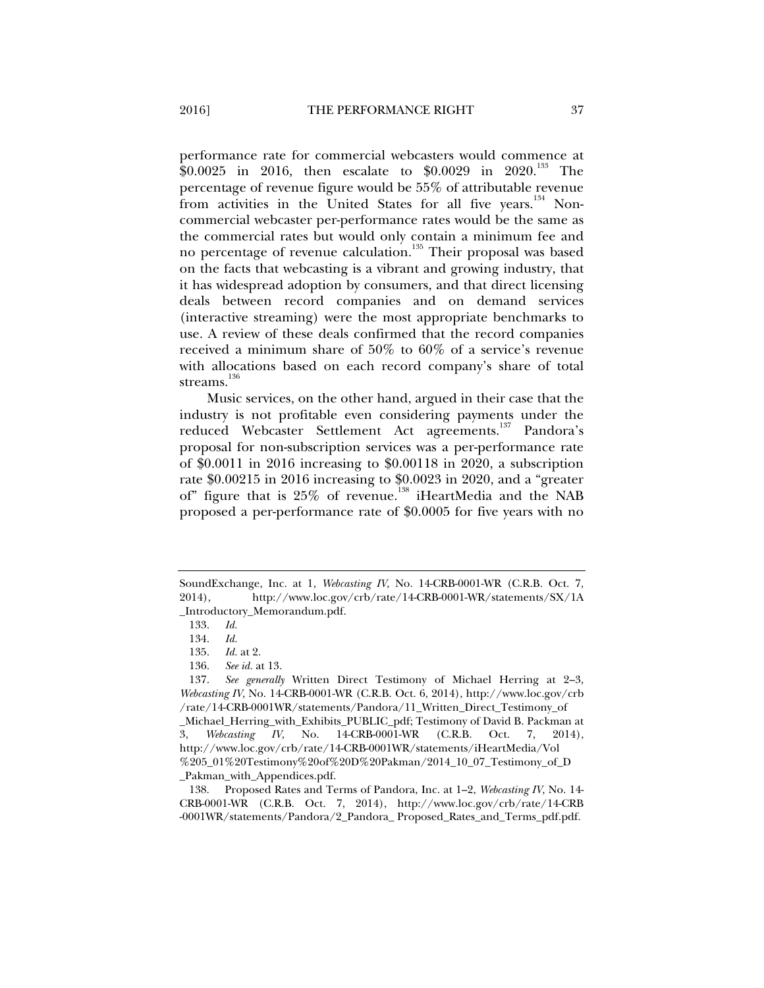performance rate for commercial webcasters would commence at \$0.0025 in 2016, then escalate to \$0.0029 in 2020.<sup>133</sup> The percentage of revenue figure would be 55% of attributable revenue from activities in the United States for all five years.<sup>134</sup> Noncommercial webcaster per-performance rates would be the same as the commercial rates but would only contain a minimum fee and no percentage of revenue calculation.<sup>135</sup> Their proposal was based on the facts that webcasting is a vibrant and growing industry, that it has widespread adoption by consumers, and that direct licensing deals between record companies and on demand services (interactive streaming) were the most appropriate benchmarks to use. A review of these deals confirmed that the record companies received a minimum share of 50% to 60% of a service's revenue with allocations based on each record company's share of total streams. $136$ 

Music services, on the other hand, argued in their case that the industry is not profitable even considering payments under the reduced Webcaster Settlement Act agreements.137 Pandora's proposal for non-subscription services was a per-performance rate of \$0.0011 in 2016 increasing to \$0.00118 in 2020, a subscription rate \$0.00215 in 2016 increasing to \$0.0023 in 2020, and a "greater of" figure that is 25% of revenue.<sup>138</sup> iHeartMedia and the NAB proposed a per-performance rate of \$0.0005 for five years with no

SoundExchange, Inc. at 1, *Webcasting IV*, No. 14-CRB-0001-WR (C.R.B. Oct. 7, 2014), http://www.loc.gov/crb/rate/14-CRB-0001-WR/statements/SX/1A \_Introductory\_Memorandum.pdf.

 <sup>133.</sup> *Id.*

 <sup>134.</sup> *Id.*

 <sup>135.</sup> *Id.* at 2.

 <sup>136.</sup> *See id.* at 13.

 <sup>137.</sup> *See generally* Written Direct Testimony of Michael Herring at 2–3, *Webcasting IV*, No. 14-CRB-0001-WR (C.R.B. Oct. 6, 2014), http://www.loc.gov/crb /rate/14-CRB-0001WR/statements/Pandora/11\_Written\_Direct\_Testimony\_of \_Michael\_Herring\_with\_Exhibits\_PUBLIC\_pdf; Testimony of David B. Packman at 3, *Webcasting IV*, No. 14-CRB-0001-WR (C.R.B. Oct. 7, 2014), http://www.loc.gov/crb/rate/14-CRB-0001WR/statements/iHeartMedia/Vol %205\_01%20Testimony%20of%20D%20Pakman/2014\_10\_07\_Testimony\_of\_D

\_Pakman\_with\_Appendices.pdf.

 <sup>138.</sup> Proposed Rates and Terms of Pandora, Inc. at 1–2, *Webcasting IV*, No. 14- CRB-0001-WR (C.R.B. Oct. 7, 2014), http://www.loc.gov/crb/rate/14-CRB -0001WR/statements/Pandora/2\_Pandora\_ Proposed\_Rates\_and\_Terms\_pdf.pdf.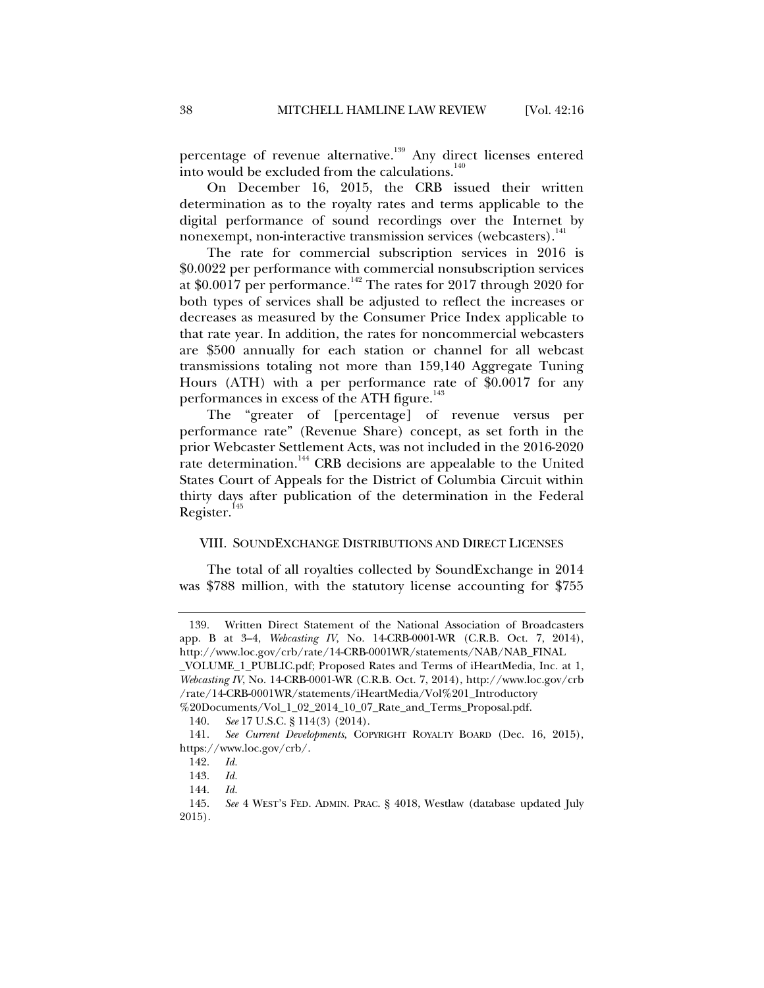percentage of revenue alternative.<sup>139</sup> Any direct licenses entered into would be excluded from the calculations.<sup>140</sup>

On December 16, 2015, the CRB issued their written determination as to the royalty rates and terms applicable to the digital performance of sound recordings over the Internet by nonexempt, non-interactive transmission services (webcasters).<sup>141</sup>

The rate for commercial subscription services in 2016 is \$0.0022 per performance with commercial nonsubscription services at \$0.0017 per performance.<sup>142</sup> The rates for 2017 through 2020 for both types of services shall be adjusted to reflect the increases or decreases as measured by the Consumer Price Index applicable to that rate year. In addition, the rates for noncommercial webcasters are \$500 annually for each station or channel for all webcast transmissions totaling not more than 159,140 Aggregate Tuning Hours (ATH) with a per performance rate of \$0.0017 for any performances in excess of the ATH figure.<sup>143</sup>

The "greater of [percentage] of revenue versus per performance rate" (Revenue Share) concept, as set forth in the prior Webcaster Settlement Acts, was not included in the 2016-2020 rate determination.<sup>144</sup> CRB decisions are appealable to the United States Court of Appeals for the District of Columbia Circuit within thirty days after publication of the determination in the Federal Register. $145$ 

#### VIII. SOUNDEXCHANGE DISTRIBUTIONS AND DIRECT LICENSES

The total of all royalties collected by SoundExchange in 2014 was \$788 million, with the statutory license accounting for \$755

 <sup>139.</sup> Written Direct Statement of the National Association of Broadcasters app. B at 3–4, *Webcasting IV*, No. 14-CRB-0001-WR (C.R.B. Oct. 7, 2014), http://www.loc.gov/crb/rate/14-CRB-0001WR/statements/NAB/NAB\_FINAL

\_VOLUME\_1\_PUBLIC.pdf; Proposed Rates and Terms of iHeartMedia, Inc. at 1, *Webcasting IV*, No. 14-CRB-0001-WR (C.R.B. Oct. 7, 2014), http://www.loc.gov/crb /rate/14-CRB-0001WR/statements/iHeartMedia/Vol%201\_Introductory %20Documents/Vol\_1\_02\_2014\_10\_07\_Rate\_and\_Terms\_Proposal.pdf.

 <sup>140.</sup> *See* 17 U.S.C. § 114(3) (2014).

 <sup>141.</sup> *See Current Developments*, COPYRIGHT ROYALTY BOARD (Dec. 16, 2015), https://www.loc.gov/crb/.

 <sup>142.</sup> *Id.* 

 <sup>143.</sup> *Id.* 

 <sup>144.</sup> *Id.*

 <sup>145.</sup> *See* 4 WEST'S FED. ADMIN. PRAC. § 4018, Westlaw (database updated July 2015).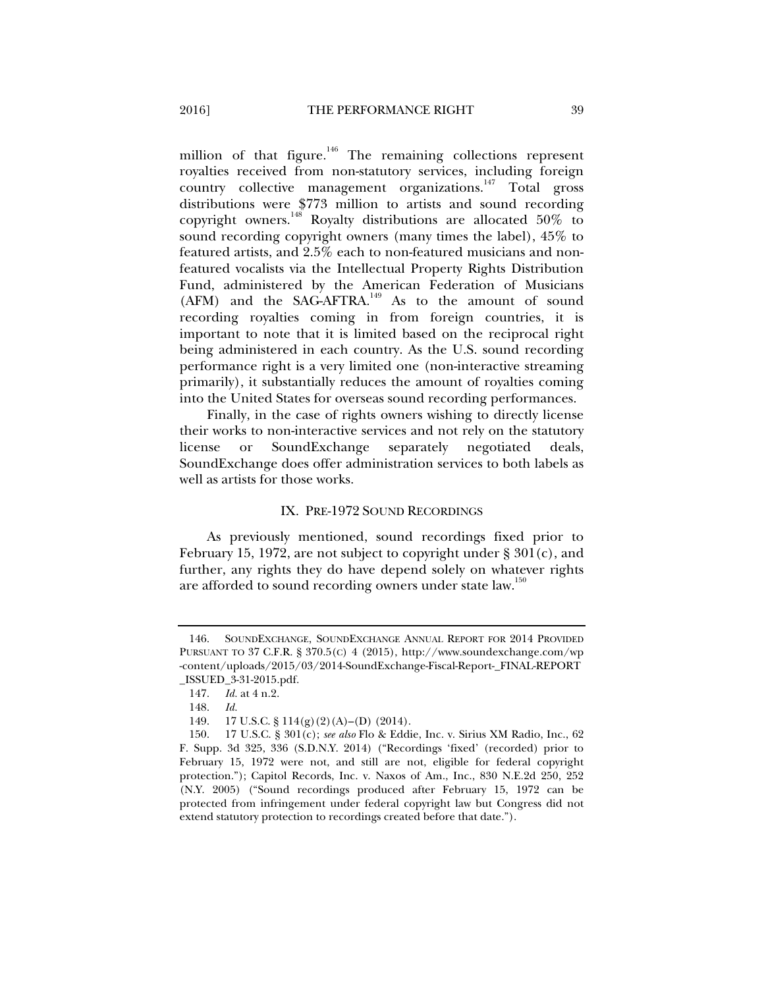million of that figure.<sup>146</sup> The remaining collections represent royalties received from non-statutory services, including foreign country collective management organizations.<sup>147</sup> Total gross distributions were \$773 million to artists and sound recording copyright owners.148 Royalty distributions are allocated 50% to sound recording copyright owners (many times the label), 45% to featured artists, and 2.5% each to non-featured musicians and nonfeatured vocalists via the Intellectual Property Rights Distribution Fund, administered by the American Federation of Musicians (AFM) and the SAG-AFTRA.<sup>149</sup> As to the amount of sound recording royalties coming in from foreign countries, it is important to note that it is limited based on the reciprocal right being administered in each country. As the U.S. sound recording performance right is a very limited one (non-interactive streaming primarily), it substantially reduces the amount of royalties coming into the United States for overseas sound recording performances.

Finally, in the case of rights owners wishing to directly license their works to non-interactive services and not rely on the statutory license or SoundExchange separately negotiated deals, SoundExchange does offer administration services to both labels as well as artists for those works.

#### IX. PRE-1972 SOUND RECORDINGS

As previously mentioned, sound recordings fixed prior to February 15, 1972, are not subject to copyright under § 301(c), and further, any rights they do have depend solely on whatever rights are afforded to sound recording owners under state law.<sup>150</sup>

 <sup>146.</sup> SOUNDEXCHANGE, SOUNDEXCHANGE ANNUAL REPORT FOR 2014 PROVIDED PURSUANT TO 37 C.F.R. § 370.5(C) 4 (2015), http://www.soundexchange.com/wp -content/uploads/2015/03/2014-SoundExchange-Fiscal-Report-\_FINAL-REPORT \_ISSUED\_3-31-2015.pdf.

 <sup>147.</sup> *Id.* at 4 n.2.

 <sup>148.</sup> *Id.*

 <sup>149. 17</sup> U.S.C. § 114(g)(2)(A)–(D) (2014).

 <sup>150. 17</sup> U.S.C. § 301(c); *see also* Flo & Eddie, Inc. v. Sirius XM Radio, Inc., 62 F. Supp. 3d 325, 336 (S.D.N.Y. 2014) ("Recordings 'fixed' (recorded) prior to February 15, 1972 were not, and still are not, eligible for federal copyright protection."); Capitol Records, Inc. v. Naxos of Am., Inc., 830 N.E.2d 250, 252 (N.Y. 2005) ("Sound recordings produced after February 15, 1972 can be protected from infringement under federal copyright law but Congress did not extend statutory protection to recordings created before that date.").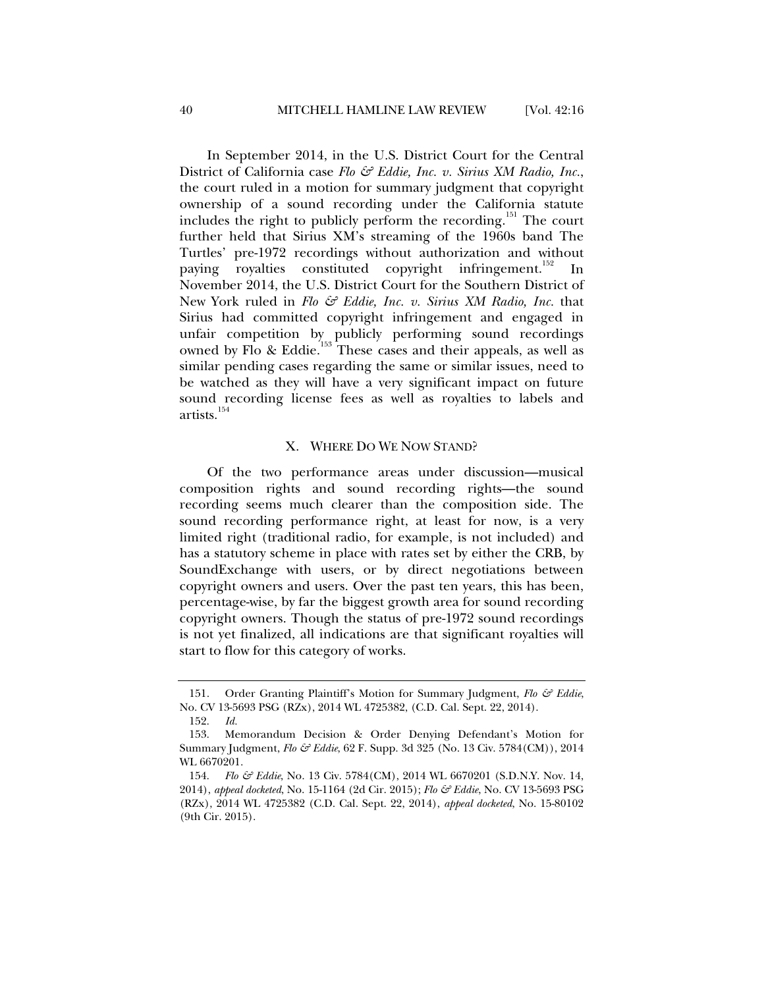In September 2014, in the U.S. District Court for the Central District of California case *Flo & Eddie, Inc. v. Sirius XM Radio, Inc.*, the court ruled in a motion for summary judgment that copyright ownership of a sound recording under the California statute includes the right to publicly perform the recording.<sup>151</sup> The court further held that Sirius XM's streaming of the 1960s band The Turtles' pre-1972 recordings without authorization and without paying royalties constituted copyright infringement.<sup>152</sup> In November 2014, the U.S. District Court for the Southern District of New York ruled in *Flo & Eddie, Inc. v. Sirius XM Radio, Inc.* that Sirius had committed copyright infringement and engaged in unfair competition by publicly performing sound recordings owned by Flo & Eddie.<sup>153</sup> These cases and their appeals, as well as similar pending cases regarding the same or similar issues, need to be watched as they will have a very significant impact on future sound recording license fees as well as royalties to labels and artists.<sup>154</sup>

#### X. WHERE DO WE NOW STAND?

Of the two performance areas under discussion—musical composition rights and sound recording rights—the sound recording seems much clearer than the composition side. The sound recording performance right, at least for now, is a very limited right (traditional radio, for example, is not included) and has a statutory scheme in place with rates set by either the CRB, by SoundExchange with users, or by direct negotiations between copyright owners and users. Over the past ten years, this has been, percentage-wise, by far the biggest growth area for sound recording copyright owners. Though the status of pre-1972 sound recordings is not yet finalized, all indications are that significant royalties will start to flow for this category of works.

 <sup>151.</sup> Order Granting Plaintiff's Motion for Summary Judgment, *Flo & Eddie*, No. CV 13-5693 PSG (RZx), 2014 WL 4725382, (C.D. Cal. Sept. 22, 2014).

 <sup>152.</sup> *Id.*

 <sup>153.</sup> Memorandum Decision & Order Denying Defendant's Motion for Summary Judgment, *Flo & Eddie*, 62 F. Supp. 3d 325 (No. 13 Civ. 5784(CM)), 2014 WL 6670201.

 <sup>154.</sup> *Flo & Eddie*, No. 13 Civ. 5784(CM), 2014 WL 6670201 (S.D.N.Y. Nov. 14, 2014), *appeal docketed*, No. 15-1164 (2d Cir. 2015); *Flo & Eddie*, No. CV 13-5693 PSG (RZx), 2014 WL 4725382 (C.D. Cal. Sept. 22, 2014), *appeal docketed*, No. 15-80102 (9th Cir. 2015).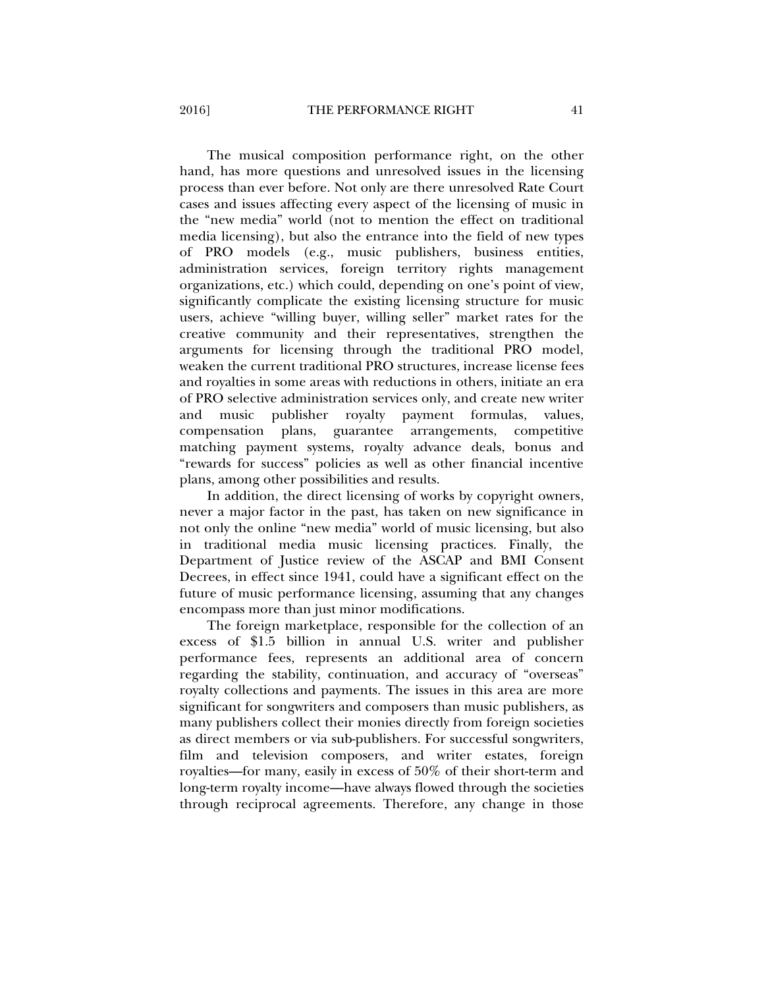The musical composition performance right, on the other hand, has more questions and unresolved issues in the licensing process than ever before. Not only are there unresolved Rate Court cases and issues affecting every aspect of the licensing of music in the "new media" world (not to mention the effect on traditional media licensing), but also the entrance into the field of new types of PRO models (e.g., music publishers, business entities, administration services, foreign territory rights management organizations, etc.) which could, depending on one's point of view, significantly complicate the existing licensing structure for music users, achieve "willing buyer, willing seller" market rates for the creative community and their representatives, strengthen the arguments for licensing through the traditional PRO model, weaken the current traditional PRO structures, increase license fees and royalties in some areas with reductions in others, initiate an era of PRO selective administration services only, and create new writer and music publisher royalty payment formulas, values, compensation plans, guarantee arrangements, competitive matching payment systems, royalty advance deals, bonus and "rewards for success" policies as well as other financial incentive plans, among other possibilities and results.

In addition, the direct licensing of works by copyright owners, never a major factor in the past, has taken on new significance in not only the online "new media" world of music licensing, but also in traditional media music licensing practices. Finally, the Department of Justice review of the ASCAP and BMI Consent Decrees, in effect since 1941, could have a significant effect on the future of music performance licensing, assuming that any changes encompass more than just minor modifications.

The foreign marketplace, responsible for the collection of an excess of \$1.5 billion in annual U.S. writer and publisher performance fees, represents an additional area of concern regarding the stability, continuation, and accuracy of "overseas" royalty collections and payments. The issues in this area are more significant for songwriters and composers than music publishers, as many publishers collect their monies directly from foreign societies as direct members or via sub-publishers. For successful songwriters, film and television composers, and writer estates, foreign royalties—for many, easily in excess of 50% of their short-term and long-term royalty income—have always flowed through the societies through reciprocal agreements. Therefore, any change in those